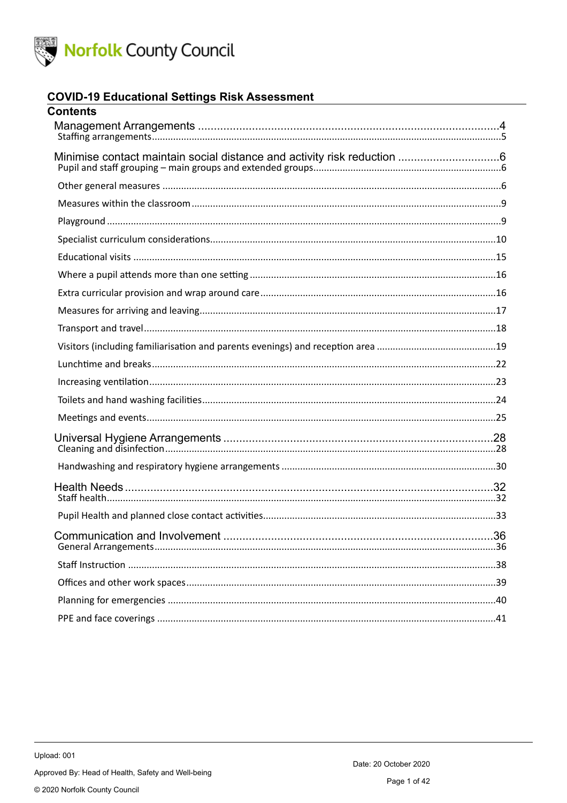

#### **COVID-19 Educational Settings Risk Assessment**

| <b>Contents</b> |  |
|-----------------|--|
|                 |  |
|                 |  |
|                 |  |
|                 |  |
|                 |  |
|                 |  |
|                 |  |
|                 |  |
|                 |  |
|                 |  |
|                 |  |
|                 |  |
|                 |  |
|                 |  |
|                 |  |
|                 |  |
|                 |  |
|                 |  |
|                 |  |
|                 |  |
|                 |  |
|                 |  |
|                 |  |
|                 |  |
|                 |  |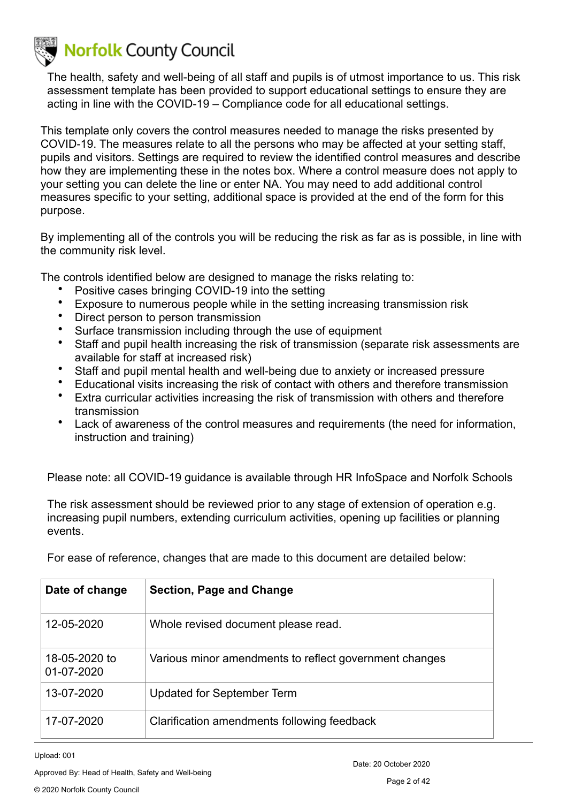The health, safety and well-being of all staff and pupils is of utmost importance to us. This risk assessment template has been provided to support educational settings to ensure they are acting in line with the COVID-19 – Compliance code for all educational settings.

This template only covers the control measures needed to manage the risks presented by COVID-19. The measures relate to all the persons who may be affected at your setting staff, pupils and visitors. Settings are required to review the identified control measures and describe how they are implementing these in the notes box. Where a control measure does not apply to your setting you can delete the line or enter NA. You may need to add additional control measures specific to your setting, additional space is provided at the end of the form for this purpose.

By implementing all of the controls you will be reducing the risk as far as is possible, in line with the community risk level.

The controls identified below are designed to manage the risks relating to:

- Positive cases bringing COVID-19 into the setting
- Exposure to numerous people while in the setting increasing transmission risk
- Direct person to person transmission
- Surface transmission including through the use of equipment
- Staff and pupil health increasing the risk of transmission (separate risk assessments are available for staff at increased risk)
- Staff and pupil mental health and well-being due to anxiety or increased pressure
- Educational visits increasing the risk of contact with others and therefore transmission
- Extra curricular activities increasing the risk of transmission with others and therefore transmission
- Lack of awareness of the control measures and requirements (the need for information, instruction and training)

Please note: all COVID-19 guidance is available through HR InfoSpace and Norfolk Schools

The risk assessment should be reviewed prior to any stage of extension of operation e.g. increasing pupil numbers, extending curriculum activities, opening up facilities or planning events.

| Date of change              | <b>Section, Page and Change</b>                        |
|-----------------------------|--------------------------------------------------------|
| 12-05-2020                  | Whole revised document please read.                    |
| 18-05-2020 to<br>01-07-2020 | Various minor amendments to reflect government changes |
| 13-07-2020                  | Updated for September Term                             |
| 17-07-2020                  | Clarification amendments following feedback            |

For ease of reference, changes that are made to this document are detailed below:

Upload: 001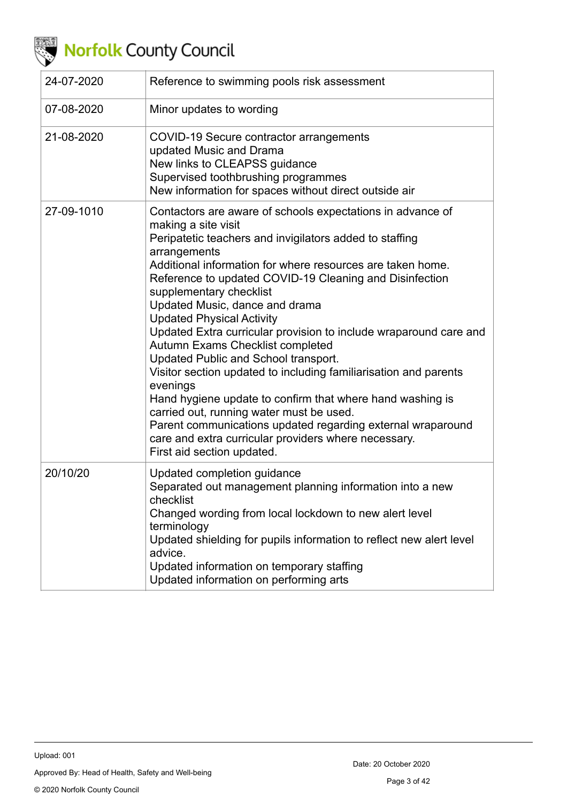

| 24-07-2020 | Reference to swimming pools risk assessment                                                                                                                                                                                                                                                                                                                                                                                                                                                                                                                                                                                                                                                                                                                                                                                                                                           |
|------------|---------------------------------------------------------------------------------------------------------------------------------------------------------------------------------------------------------------------------------------------------------------------------------------------------------------------------------------------------------------------------------------------------------------------------------------------------------------------------------------------------------------------------------------------------------------------------------------------------------------------------------------------------------------------------------------------------------------------------------------------------------------------------------------------------------------------------------------------------------------------------------------|
| 07-08-2020 | Minor updates to wording                                                                                                                                                                                                                                                                                                                                                                                                                                                                                                                                                                                                                                                                                                                                                                                                                                                              |
| 21-08-2020 | COVID-19 Secure contractor arrangements<br>updated Music and Drama<br>New links to CLEAPSS guidance<br>Supervised toothbrushing programmes<br>New information for spaces without direct outside air                                                                                                                                                                                                                                                                                                                                                                                                                                                                                                                                                                                                                                                                                   |
| 27-09-1010 | Contactors are aware of schools expectations in advance of<br>making a site visit<br>Peripatetic teachers and invigilators added to staffing<br>arrangements<br>Additional information for where resources are taken home.<br>Reference to updated COVID-19 Cleaning and Disinfection<br>supplementary checklist<br>Updated Music, dance and drama<br><b>Updated Physical Activity</b><br>Updated Extra curricular provision to include wraparound care and<br>Autumn Exams Checklist completed<br>Updated Public and School transport.<br>Visitor section updated to including familiarisation and parents<br>evenings<br>Hand hygiene update to confirm that where hand washing is<br>carried out, running water must be used.<br>Parent communications updated regarding external wraparound<br>care and extra curricular providers where necessary.<br>First aid section updated. |
| 20/10/20   | Updated completion guidance<br>Separated out management planning information into a new<br>checklist<br>Changed wording from local lockdown to new alert level<br>terminology<br>Updated shielding for pupils information to reflect new alert level<br>advice.<br>Updated information on temporary staffing<br>Updated information on performing arts                                                                                                                                                                                                                                                                                                                                                                                                                                                                                                                                |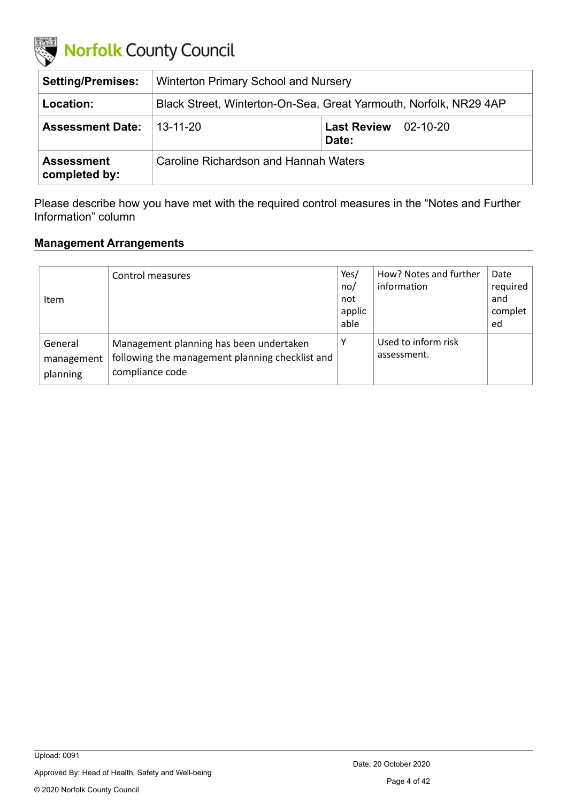

| <b>Setting/Premises:</b>           | <b>Winterton Primary School and Nursery</b>                       |                                      |  |  |
|------------------------------------|-------------------------------------------------------------------|--------------------------------------|--|--|
| Location:                          | Black Street, Winterton-On-Sea, Great Yarmouth, Norfolk, NR29 4AP |                                      |  |  |
| <b>Assessment Date:</b>            | 13-11-20                                                          | <b>Last Review</b> 02-10-20<br>Date: |  |  |
| <b>Assessment</b><br>completed by: | Caroline Richardson and Hannah Waters                             |                                      |  |  |

Please describe how you have met with the required control measures in the "Notes and Further Information" column

#### <span id="page-3-0"></span>**Management Arrangements**

| Item                              | Control measures                                                                                              | Yes/<br>no/<br>not<br>applic<br>able | How? Notes and further<br>information | Date<br>required<br>and<br>complet<br>ed |
|-----------------------------------|---------------------------------------------------------------------------------------------------------------|--------------------------------------|---------------------------------------|------------------------------------------|
| General<br>management<br>planning | Management planning has been undertaken<br>following the management planning checklist and<br>compliance code | Υ                                    | Used to inform risk<br>assessment.    |                                          |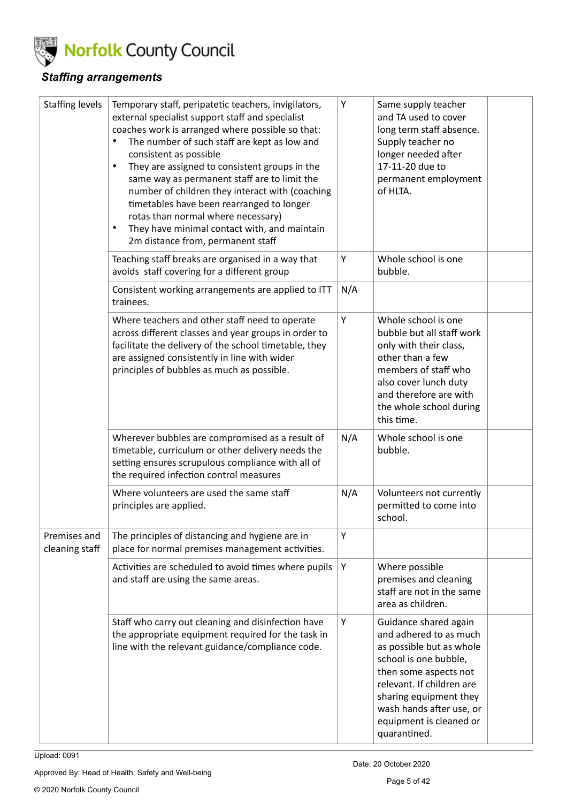

### <span id="page-4-0"></span>*Staffing arrangements*

| <b>Staffing levels</b>         | Temporary staff, peripatetic teachers, invigilators,<br>external specialist support staff and specialist<br>coaches work is arranged where possible so that:<br>The number of such staff are kept as low and<br>consistent as possible<br>They are assigned to consistent groups in the<br>$\bullet$<br>same way as permanent staff are to limit the<br>number of children they interact with (coaching<br>timetables have been rearranged to longer<br>rotas than normal where necessary)<br>They have minimal contact with, and maintain<br>$\bullet$<br>2m distance from, permanent staff | Υ   | Same supply teacher<br>and TA used to cover<br>long term staff absence.<br>Supply teacher no<br>longer needed after<br>17-11-20 due to<br>permanent employment<br>of HLTA.                                                                                  |
|--------------------------------|----------------------------------------------------------------------------------------------------------------------------------------------------------------------------------------------------------------------------------------------------------------------------------------------------------------------------------------------------------------------------------------------------------------------------------------------------------------------------------------------------------------------------------------------------------------------------------------------|-----|-------------------------------------------------------------------------------------------------------------------------------------------------------------------------------------------------------------------------------------------------------------|
|                                | Teaching staff breaks are organised in a way that<br>avoids staff covering for a different group                                                                                                                                                                                                                                                                                                                                                                                                                                                                                             | Υ   | Whole school is one<br>bubble.                                                                                                                                                                                                                              |
|                                | Consistent working arrangements are applied to ITT<br>trainees.                                                                                                                                                                                                                                                                                                                                                                                                                                                                                                                              | N/A |                                                                                                                                                                                                                                                             |
|                                | Where teachers and other staff need to operate<br>across different classes and year groups in order to<br>facilitate the delivery of the school timetable, they<br>are assigned consistently in line with wider<br>principles of bubbles as much as possible.                                                                                                                                                                                                                                                                                                                                | Υ   | Whole school is one<br>bubble but all staff work<br>only with their class,<br>other than a few<br>members of staff who<br>also cover lunch duty<br>and therefore are with<br>the whole school during<br>this time.                                          |
|                                | Wherever bubbles are compromised as a result of<br>timetable, curriculum or other delivery needs the<br>setting ensures scrupulous compliance with all of<br>the required infection control measures                                                                                                                                                                                                                                                                                                                                                                                         | N/A | Whole school is one<br>bubble.                                                                                                                                                                                                                              |
|                                | Where volunteers are used the same staff<br>principles are applied.                                                                                                                                                                                                                                                                                                                                                                                                                                                                                                                          | N/A | Volunteers not currently<br>permitted to come into<br>school.                                                                                                                                                                                               |
| Premises and<br>cleaning staff | The principles of distancing and hygiene are in<br>place for normal premises management activities.                                                                                                                                                                                                                                                                                                                                                                                                                                                                                          | Υ   |                                                                                                                                                                                                                                                             |
|                                | Activities are scheduled to avoid times where pupils<br>and staff are using the same areas.                                                                                                                                                                                                                                                                                                                                                                                                                                                                                                  | Υ   | Where possible<br>premises and cleaning<br>staff are not in the same<br>area as children.                                                                                                                                                                   |
|                                | Staff who carry out cleaning and disinfection have<br>the appropriate equipment required for the task in<br>line with the relevant guidance/compliance code.                                                                                                                                                                                                                                                                                                                                                                                                                                 | Y   | Guidance shared again<br>and adhered to as much<br>as possible but as whole<br>school is one bubble,<br>then some aspects not<br>relevant. If children are<br>sharing equipment they<br>wash hands after use, or<br>equipment is cleaned or<br>quarantined. |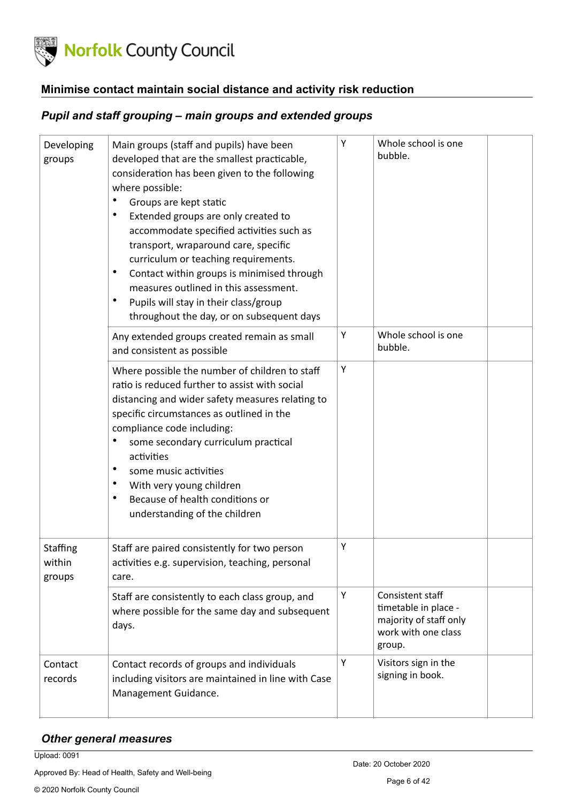

#### <span id="page-5-0"></span>**Minimise contact maintain social distance and activity risk reduction**

#### <span id="page-5-1"></span>*Pupil and staff grouping – main groups and extended groups*

| Developing<br>groups         | Main groups (staff and pupils) have been<br>developed that are the smallest practicable,<br>consideration has been given to the following<br>where possible:<br>Groups are kept static<br>٠<br>$\bullet$<br>Extended groups are only created to<br>accommodate specified activities such as<br>transport, wraparound care, specific<br>curriculum or teaching requirements.<br>$\bullet$<br>Contact within groups is minimised through<br>measures outlined in this assessment.<br>$\bullet$<br>Pupils will stay in their class/group<br>throughout the day, or on subsequent days | Υ | Whole school is one<br>bubble.                                                                      |  |
|------------------------------|------------------------------------------------------------------------------------------------------------------------------------------------------------------------------------------------------------------------------------------------------------------------------------------------------------------------------------------------------------------------------------------------------------------------------------------------------------------------------------------------------------------------------------------------------------------------------------|---|-----------------------------------------------------------------------------------------------------|--|
|                              | Any extended groups created remain as small<br>and consistent as possible                                                                                                                                                                                                                                                                                                                                                                                                                                                                                                          | Υ | Whole school is one<br>bubble.                                                                      |  |
|                              | Where possible the number of children to staff<br>ratio is reduced further to assist with social<br>distancing and wider safety measures relating to<br>specific circumstances as outlined in the<br>compliance code including:<br>some secondary curriculum practical<br>٠<br>activities<br>$\bullet$<br>some music activities<br>$\bullet$<br>With very young children<br>Because of health conditions or<br>$\bullet$<br>understanding of the children                                                                                                                          | Υ |                                                                                                     |  |
| Staffing<br>within<br>groups | Staff are paired consistently for two person<br>activities e.g. supervision, teaching, personal<br>care.                                                                                                                                                                                                                                                                                                                                                                                                                                                                           | Υ |                                                                                                     |  |
|                              | Staff are consistently to each class group, and<br>where possible for the same day and subsequent<br>days.                                                                                                                                                                                                                                                                                                                                                                                                                                                                         | Υ | Consistent staff<br>timetable in place -<br>majority of staff only<br>work with one class<br>group. |  |
| Contact<br>records           | Contact records of groups and individuals<br>including visitors are maintained in line with Case<br>Management Guidance.                                                                                                                                                                                                                                                                                                                                                                                                                                                           | Υ | Visitors sign in the<br>signing in book.                                                            |  |

#### <span id="page-5-2"></span>*Other general measures*

Upload: 0091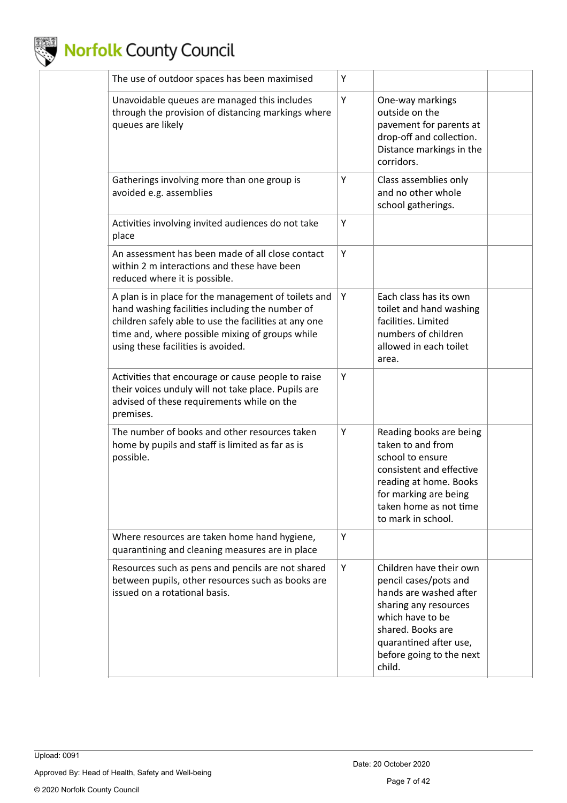

| The use of outdoor spaces has been maximised                                                                                                                                                                                                              | Υ |                                                                                                                                                                                                              |  |
|-----------------------------------------------------------------------------------------------------------------------------------------------------------------------------------------------------------------------------------------------------------|---|--------------------------------------------------------------------------------------------------------------------------------------------------------------------------------------------------------------|--|
| Unavoidable queues are managed this includes<br>through the provision of distancing markings where<br>queues are likely                                                                                                                                   | Υ | One-way markings<br>outside on the<br>pavement for parents at<br>drop-off and collection.<br>Distance markings in the<br>corridors.                                                                          |  |
| Gatherings involving more than one group is<br>avoided e.g. assemblies                                                                                                                                                                                    | Y | Class assemblies only<br>and no other whole<br>school gatherings.                                                                                                                                            |  |
| Activities involving invited audiences do not take<br>place                                                                                                                                                                                               | Y |                                                                                                                                                                                                              |  |
| An assessment has been made of all close contact<br>within 2 m interactions and these have been<br>reduced where it is possible.                                                                                                                          | Υ |                                                                                                                                                                                                              |  |
| A plan is in place for the management of toilets and<br>hand washing facilities including the number of<br>children safely able to use the facilities at any one<br>time and, where possible mixing of groups while<br>using these facilities is avoided. | Υ | Each class has its own<br>toilet and hand washing<br>facilities. Limited<br>numbers of children<br>allowed in each toilet<br>area.                                                                           |  |
| Activities that encourage or cause people to raise<br>their voices unduly will not take place. Pupils are<br>advised of these requirements while on the<br>premises.                                                                                      | Υ |                                                                                                                                                                                                              |  |
| The number of books and other resources taken<br>home by pupils and staff is limited as far as is<br>possible.                                                                                                                                            | Υ | Reading books are being<br>taken to and from<br>school to ensure<br>consistent and effective<br>reading at home. Books<br>for marking are being<br>taken home as not time<br>to mark in school.              |  |
| Where resources are taken home hand hygiene,<br>quarantining and cleaning measures are in place                                                                                                                                                           | Υ |                                                                                                                                                                                                              |  |
| Resources such as pens and pencils are not shared<br>between pupils, other resources such as books are<br>issued on a rotational basis.                                                                                                                   | Υ | Children have their own<br>pencil cases/pots and<br>hands are washed after<br>sharing any resources<br>which have to be<br>shared. Books are<br>quarantined after use,<br>before going to the next<br>child. |  |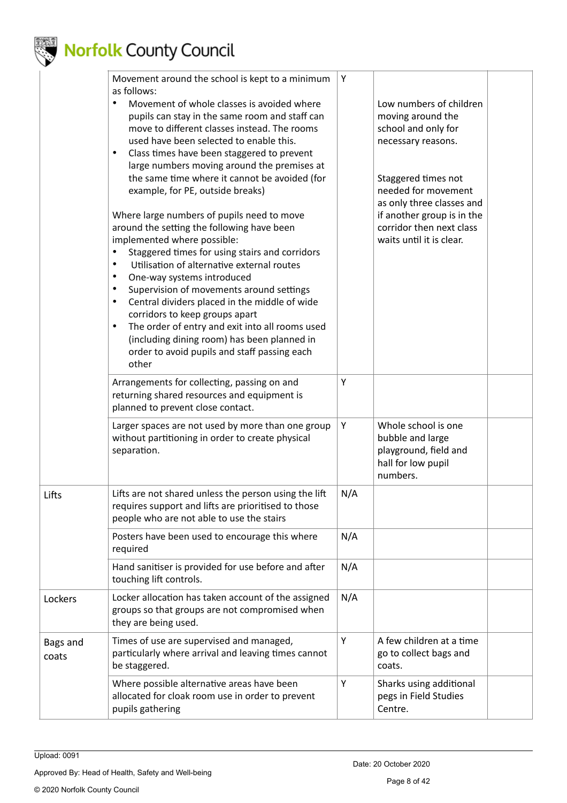

|                   | Movement around the school is kept to a minimum<br>as follows:                                                                                                                                                                                                                                                                                                                                                                                                                                                                                                                                                                       | Υ   |                                                                                                                                                               |  |
|-------------------|--------------------------------------------------------------------------------------------------------------------------------------------------------------------------------------------------------------------------------------------------------------------------------------------------------------------------------------------------------------------------------------------------------------------------------------------------------------------------------------------------------------------------------------------------------------------------------------------------------------------------------------|-----|---------------------------------------------------------------------------------------------------------------------------------------------------------------|--|
|                   | Movement of whole classes is avoided where<br>pupils can stay in the same room and staff can<br>move to different classes instead. The rooms<br>used have been selected to enable this.<br>Class times have been staggered to prevent<br>$\bullet$<br>large numbers moving around the premises at                                                                                                                                                                                                                                                                                                                                    |     | Low numbers of children<br>moving around the<br>school and only for<br>necessary reasons.                                                                     |  |
|                   | the same time where it cannot be avoided (for<br>example, for PE, outside breaks)<br>Where large numbers of pupils need to move<br>around the setting the following have been<br>implemented where possible:<br>Staggered times for using stairs and corridors<br>Utilisation of alternative external routes<br>$\bullet$<br>One-way systems introduced<br>$\bullet$<br>Supervision of movements around settings<br>٠<br>Central dividers placed in the middle of wide<br>$\bullet$<br>corridors to keep groups apart<br>The order of entry and exit into all rooms used<br>$\bullet$<br>(including dining room) has been planned in |     | Staggered times not<br>needed for movement<br>as only three classes and<br>if another group is in the<br>corridor then next class<br>waits until it is clear. |  |
|                   | order to avoid pupils and staff passing each<br>other                                                                                                                                                                                                                                                                                                                                                                                                                                                                                                                                                                                |     |                                                                                                                                                               |  |
|                   | Arrangements for collecting, passing on and<br>returning shared resources and equipment is<br>planned to prevent close contact.                                                                                                                                                                                                                                                                                                                                                                                                                                                                                                      | Y   |                                                                                                                                                               |  |
|                   | Larger spaces are not used by more than one group<br>without partitioning in order to create physical<br>separation.                                                                                                                                                                                                                                                                                                                                                                                                                                                                                                                 | Y   | Whole school is one<br>bubble and large<br>playground, field and<br>hall for low pupil<br>numbers.                                                            |  |
| Lifts             | Lifts are not shared unless the person using the lift<br>requires support and lifts are prioritised to those<br>people who are not able to use the stairs                                                                                                                                                                                                                                                                                                                                                                                                                                                                            | N/A |                                                                                                                                                               |  |
|                   | Posters have been used to encourage this where<br>required                                                                                                                                                                                                                                                                                                                                                                                                                                                                                                                                                                           | N/A |                                                                                                                                                               |  |
|                   | Hand sanitiser is provided for use before and after<br>touching lift controls.                                                                                                                                                                                                                                                                                                                                                                                                                                                                                                                                                       | N/A |                                                                                                                                                               |  |
| Lockers           | Locker allocation has taken account of the assigned<br>groups so that groups are not compromised when<br>they are being used.                                                                                                                                                                                                                                                                                                                                                                                                                                                                                                        | N/A |                                                                                                                                                               |  |
| Bags and<br>coats | Times of use are supervised and managed,<br>particularly where arrival and leaving times cannot<br>be staggered.                                                                                                                                                                                                                                                                                                                                                                                                                                                                                                                     | Υ   | A few children at a time<br>go to collect bags and<br>coats.                                                                                                  |  |
|                   | Where possible alternative areas have been<br>allocated for cloak room use in order to prevent<br>pupils gathering                                                                                                                                                                                                                                                                                                                                                                                                                                                                                                                   | Υ   | Sharks using additional<br>pegs in Field Studies<br>Centre.                                                                                                   |  |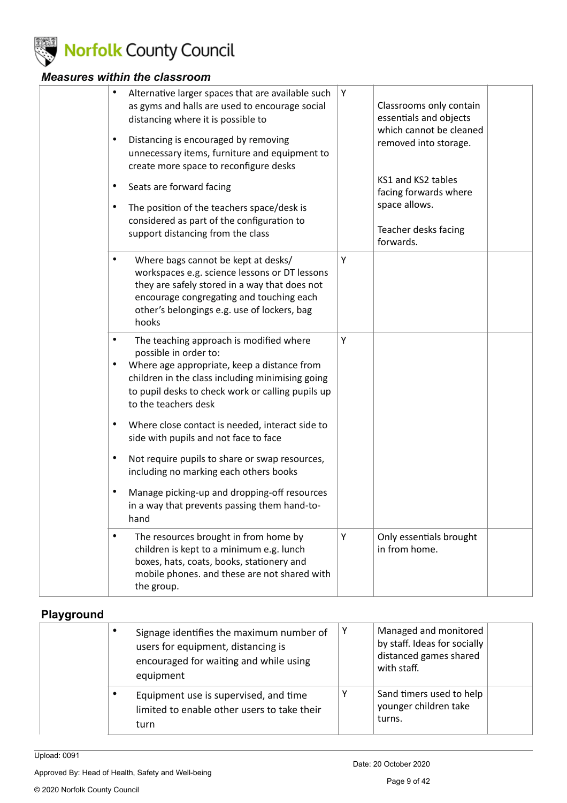

### <span id="page-8-0"></span>*Measures within the classroom*

| Alternative larger spaces that are available such<br>$\bullet$<br>as gyms and halls are used to encourage social<br>distancing where it is possible to<br>Distancing is encouraged by removing<br>$\bullet$<br>unnecessary items, furniture and equipment to<br>create more space to reconfigure desks<br>Seats are forward facing<br>٠ | Υ | Classrooms only contain<br>essentials and objects<br>which cannot be cleaned<br>removed into storage.<br>KS1 and KS2 tables |  |
|-----------------------------------------------------------------------------------------------------------------------------------------------------------------------------------------------------------------------------------------------------------------------------------------------------------------------------------------|---|-----------------------------------------------------------------------------------------------------------------------------|--|
| The position of the teachers space/desk is<br>$\bullet$<br>considered as part of the configuration to<br>support distancing from the class                                                                                                                                                                                              |   | facing forwards where<br>space allows.<br>Teacher desks facing<br>forwards.                                                 |  |
| Where bags cannot be kept at desks/<br>$\bullet$<br>workspaces e.g. science lessons or DT lessons<br>they are safely stored in a way that does not<br>encourage congregating and touching each<br>other's belongings e.g. use of lockers, bag<br>hooks                                                                                  | Y |                                                                                                                             |  |
| The teaching approach is modified where<br>$\bullet$<br>possible in order to:<br>Where age appropriate, keep a distance from<br>٠<br>children in the class including minimising going<br>to pupil desks to check work or calling pupils up<br>to the teachers desk                                                                      | Y |                                                                                                                             |  |
| Where close contact is needed, interact side to<br>$\bullet$<br>side with pupils and not face to face                                                                                                                                                                                                                                   |   |                                                                                                                             |  |
| Not require pupils to share or swap resources,<br>$\bullet$<br>including no marking each others books                                                                                                                                                                                                                                   |   |                                                                                                                             |  |
| Manage picking-up and dropping-off resources<br>$\bullet$<br>in a way that prevents passing them hand-to-<br>hand                                                                                                                                                                                                                       |   |                                                                                                                             |  |
| $\bullet$<br>The resources brought in from home by<br>children is kept to a minimum e.g. lunch<br>boxes, hats, coats, books, stationery and<br>mobile phones. and these are not shared with<br>the group.                                                                                                                               | Y | Only essentials brought<br>in from home.                                                                                    |  |

### <span id="page-8-1"></span>**Playground**

|  | Signage identifies the maximum number of<br>users for equipment, distancing is<br>encouraged for waiting and while using<br>equipment | Y | Managed and monitored<br>by staff. Ideas for socially<br>distanced games shared<br>with staff. |  |
|--|---------------------------------------------------------------------------------------------------------------------------------------|---|------------------------------------------------------------------------------------------------|--|
|  | Equipment use is supervised, and time<br>limited to enable other users to take their<br>turn                                          |   | Sand timers used to help<br>younger children take<br>turns.                                    |  |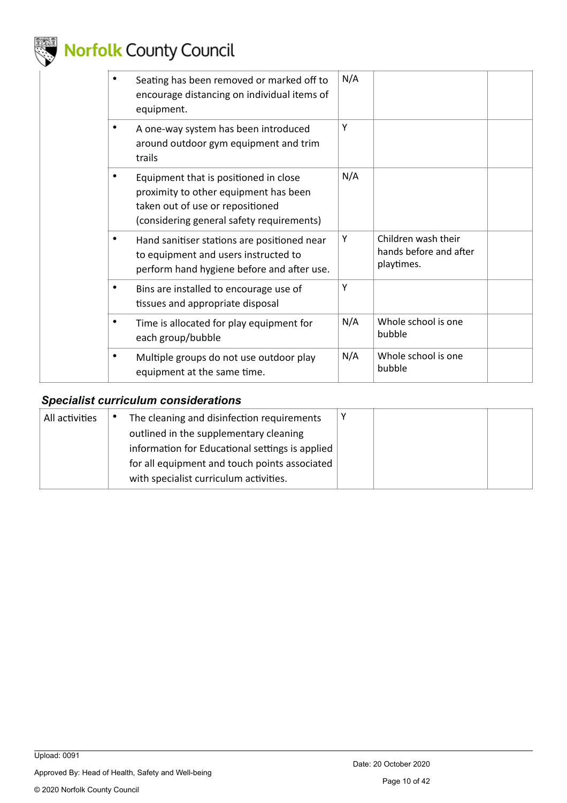

| Seating has been removed or marked off to<br>encourage distancing on individual items of<br>equipment.                                                          | N/A |                                                             |  |
|-----------------------------------------------------------------------------------------------------------------------------------------------------------------|-----|-------------------------------------------------------------|--|
| A one-way system has been introduced<br>around outdoor gym equipment and trim<br>trails                                                                         | Υ   |                                                             |  |
| Equipment that is positioned in close<br>proximity to other equipment has been<br>taken out of use or repositioned<br>(considering general safety requirements) | N/A |                                                             |  |
| Hand sanitiser stations are positioned near<br>to equipment and users instructed to<br>perform hand hygiene before and after use.                               | Y   | Children wash their<br>hands before and after<br>playtimes. |  |
| Bins are installed to encourage use of<br>tissues and appropriate disposal                                                                                      | Υ   |                                                             |  |
| Time is allocated for play equipment for<br>each group/bubble                                                                                                   | N/A | Whole school is one<br>bubble                               |  |
| Multiple groups do not use outdoor play<br>equipment at the same time.                                                                                          | N/A | Whole school is one<br>bubble                               |  |

#### <span id="page-9-0"></span>*Specialist curriculum considerations*

| All activities | The cleaning and disinfection requirements      |  |  |
|----------------|-------------------------------------------------|--|--|
|                | outlined in the supplementary cleaning          |  |  |
|                | information for Educational settings is applied |  |  |
|                | for all equipment and touch points associated   |  |  |
|                | with specialist curriculum activities.          |  |  |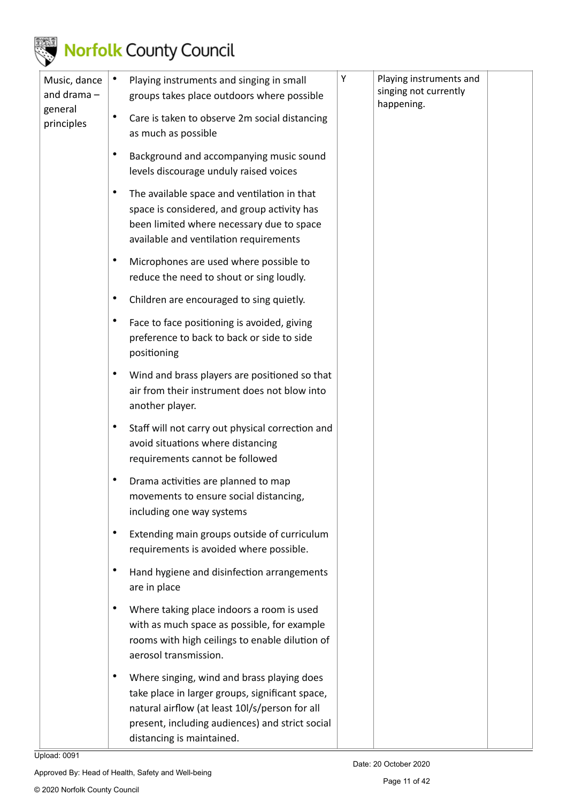

|  | Music, dance<br>and drama $-$ |                                                                                   | Playing instruments and singing in small<br>groups takes place outdoors where possible                                                                                                                                          | Υ | Playing instruments and<br>singing not currently<br>happening. |  |
|--|-------------------------------|-----------------------------------------------------------------------------------|---------------------------------------------------------------------------------------------------------------------------------------------------------------------------------------------------------------------------------|---|----------------------------------------------------------------|--|
|  | general<br>principles         | $\bullet$                                                                         | Care is taken to observe 2m social distancing<br>as much as possible                                                                                                                                                            |   |                                                                |  |
|  |                               | Background and accompanying music sound<br>levels discourage unduly raised voices |                                                                                                                                                                                                                                 |   |                                                                |  |
|  |                               |                                                                                   | The available space and ventilation in that<br>space is considered, and group activity has<br>been limited where necessary due to space<br>available and ventilation requirements                                               |   |                                                                |  |
|  |                               | $\bullet$                                                                         | Microphones are used where possible to<br>reduce the need to shout or sing loudly.                                                                                                                                              |   |                                                                |  |
|  |                               |                                                                                   | Children are encouraged to sing quietly.                                                                                                                                                                                        |   |                                                                |  |
|  |                               |                                                                                   | Face to face positioning is avoided, giving<br>preference to back to back or side to side<br>positioning                                                                                                                        |   |                                                                |  |
|  |                               |                                                                                   | Wind and brass players are positioned so that<br>air from their instrument does not blow into<br>another player.                                                                                                                |   |                                                                |  |
|  |                               | $\bullet$                                                                         | Staff will not carry out physical correction and<br>avoid situations where distancing<br>requirements cannot be followed                                                                                                        |   |                                                                |  |
|  |                               |                                                                                   | Drama activities are planned to map<br>movements to ensure social distancing,<br>including one way systems                                                                                                                      |   |                                                                |  |
|  |                               |                                                                                   | Extending main groups outside of curriculum<br>requirements is avoided where possible.                                                                                                                                          |   |                                                                |  |
|  |                               |                                                                                   | Hand hygiene and disinfection arrangements<br>are in place                                                                                                                                                                      |   |                                                                |  |
|  |                               |                                                                                   | Where taking place indoors a room is used<br>with as much space as possible, for example<br>rooms with high ceilings to enable dilution of<br>aerosol transmission.                                                             |   |                                                                |  |
|  |                               |                                                                                   | Where singing, wind and brass playing does<br>take place in larger groups, significant space,<br>natural airflow (at least 10I/s/person for all<br>present, including audiences) and strict social<br>distancing is maintained. |   |                                                                |  |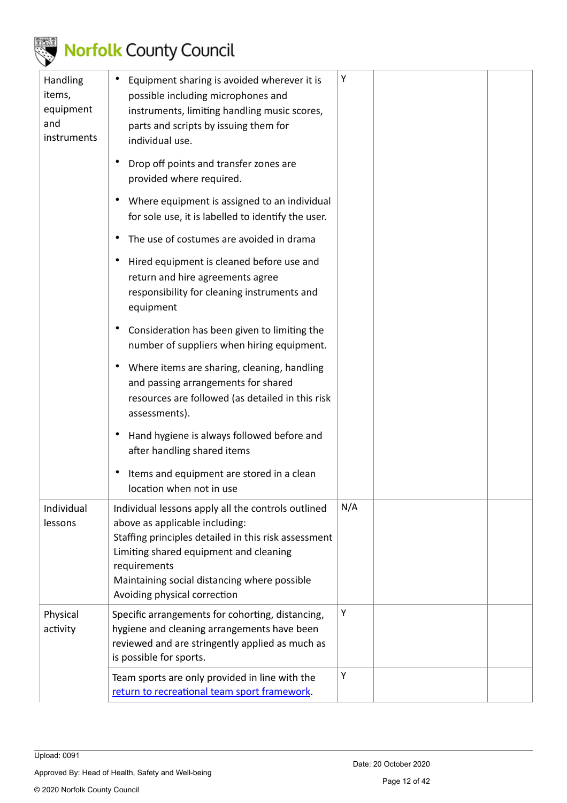

| Handling<br>items,<br>equipment<br>and<br>instruments | Equipment sharing is avoided wherever it is<br>possible including microphones and<br>instruments, limiting handling music scores,<br>parts and scripts by issuing them for<br>individual use.                                                                                          | Υ   |  |
|-------------------------------------------------------|----------------------------------------------------------------------------------------------------------------------------------------------------------------------------------------------------------------------------------------------------------------------------------------|-----|--|
|                                                       | Drop off points and transfer zones are<br>provided where required.                                                                                                                                                                                                                     |     |  |
|                                                       | Where equipment is assigned to an individual<br>for sole use, it is labelled to identify the user.                                                                                                                                                                                     |     |  |
|                                                       | The use of costumes are avoided in drama                                                                                                                                                                                                                                               |     |  |
|                                                       | Hired equipment is cleaned before use and<br>return and hire agreements agree<br>responsibility for cleaning instruments and<br>equipment                                                                                                                                              |     |  |
|                                                       | Consideration has been given to limiting the<br>number of suppliers when hiring equipment.                                                                                                                                                                                             |     |  |
|                                                       | Where items are sharing, cleaning, handling<br>$\bullet$<br>and passing arrangements for shared<br>resources are followed (as detailed in this risk<br>assessments).                                                                                                                   |     |  |
|                                                       | Hand hygiene is always followed before and<br>after handling shared items                                                                                                                                                                                                              |     |  |
|                                                       | Items and equipment are stored in a clean<br>location when not in use                                                                                                                                                                                                                  |     |  |
| Individual<br>lessons                                 | Individual lessons apply all the controls outlined<br>above as applicable including:<br>Staffing principles detailed in this risk assessment<br>Limiting shared equipment and cleaning<br>requirements<br>Maintaining social distancing where possible<br>Avoiding physical correction | N/A |  |
| Physical<br>activity                                  | Specific arrangements for cohorting, distancing,<br>hygiene and cleaning arrangements have been<br>reviewed and are stringently applied as much as<br>is possible for sports.                                                                                                          | Υ   |  |
|                                                       | Team sports are only provided in line with the<br>return to recreational team sport framework.                                                                                                                                                                                         | Υ   |  |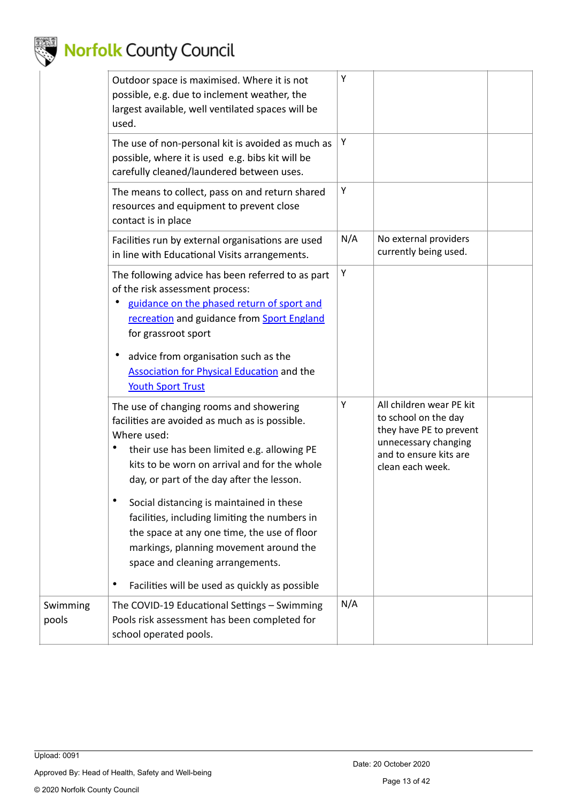

|                   | Outdoor space is maximised. Where it is not<br>possible, e.g. due to inclement weather, the<br>largest available, well ventilated spaces will be<br>used.                                                                                                                                                                                                                                                                                                                                                                                                  | Υ   |                                                                                                                                                   |
|-------------------|------------------------------------------------------------------------------------------------------------------------------------------------------------------------------------------------------------------------------------------------------------------------------------------------------------------------------------------------------------------------------------------------------------------------------------------------------------------------------------------------------------------------------------------------------------|-----|---------------------------------------------------------------------------------------------------------------------------------------------------|
|                   | The use of non-personal kit is avoided as much as<br>possible, where it is used e.g. bibs kit will be<br>carefully cleaned/laundered between uses.                                                                                                                                                                                                                                                                                                                                                                                                         | Υ   |                                                                                                                                                   |
|                   | The means to collect, pass on and return shared<br>resources and equipment to prevent close<br>contact is in place                                                                                                                                                                                                                                                                                                                                                                                                                                         | Υ   |                                                                                                                                                   |
|                   | Facilities run by external organisations are used<br>in line with Educational Visits arrangements.                                                                                                                                                                                                                                                                                                                                                                                                                                                         | N/A | No external providers<br>currently being used.                                                                                                    |
|                   | The following advice has been referred to as part<br>of the risk assessment process:<br>guidance on the phased return of sport and<br>recreation and guidance from Sport England<br>for grassroot sport                                                                                                                                                                                                                                                                                                                                                    | Υ   |                                                                                                                                                   |
|                   | advice from organisation such as the<br>$\bullet$<br><b>Association for Physical Education and the</b><br><b>Youth Sport Trust</b>                                                                                                                                                                                                                                                                                                                                                                                                                         |     |                                                                                                                                                   |
|                   | The use of changing rooms and showering<br>facilities are avoided as much as is possible.<br>Where used:<br>their use has been limited e.g. allowing PE<br>kits to be worn on arrival and for the whole<br>day, or part of the day after the lesson.<br>$\bullet$<br>Social distancing is maintained in these<br>facilities, including limiting the numbers in<br>the space at any one time, the use of floor<br>markings, planning movement around the<br>space and cleaning arrangements.<br>Facilities will be used as quickly as possible<br>$\bullet$ | Υ   | All children wear PE kit<br>to school on the day<br>they have PE to prevent<br>unnecessary changing<br>and to ensure kits are<br>clean each week. |
| Swimming<br>pools | The COVID-19 Educational Settings - Swimming<br>Pools risk assessment has been completed for<br>school operated pools.                                                                                                                                                                                                                                                                                                                                                                                                                                     | N/A |                                                                                                                                                   |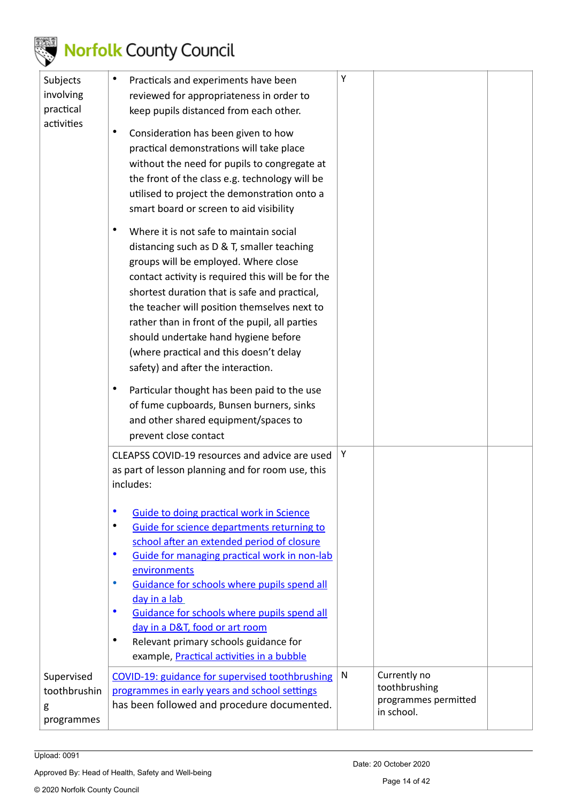

| Subjects<br>involving<br>practical<br>activities | $\bullet$<br>Practicals and experiments have been<br>reviewed for appropriateness in order to<br>keep pupils distanced from each other.<br>$\bullet$<br>Consideration has been given to how<br>practical demonstrations will take place<br>without the need for pupils to congregate at<br>the front of the class e.g. technology will be<br>utilised to project the demonstration onto a<br>smart board or screen to aid visibility                                                                                                                                                                                                                 | Υ |                                                                     |  |
|--------------------------------------------------|------------------------------------------------------------------------------------------------------------------------------------------------------------------------------------------------------------------------------------------------------------------------------------------------------------------------------------------------------------------------------------------------------------------------------------------------------------------------------------------------------------------------------------------------------------------------------------------------------------------------------------------------------|---|---------------------------------------------------------------------|--|
|                                                  | Where it is not safe to maintain social<br>$\bullet$<br>distancing such as D & T, smaller teaching<br>groups will be employed. Where close<br>contact activity is required this will be for the<br>shortest duration that is safe and practical,<br>the teacher will position themselves next to<br>rather than in front of the pupil, all parties<br>should undertake hand hygiene before<br>(where practical and this doesn't delay<br>safety) and after the interaction.<br>$\bullet$<br>Particular thought has been paid to the use<br>of fume cupboards, Bunsen burners, sinks<br>and other shared equipment/spaces to<br>prevent close contact |   |                                                                     |  |
|                                                  | CLEAPSS COVID-19 resources and advice are used<br>as part of lesson planning and for room use, this<br>includes:                                                                                                                                                                                                                                                                                                                                                                                                                                                                                                                                     | Υ |                                                                     |  |
|                                                  | $\bullet$<br><b>Guide to doing practical work in Science</b><br>$\bullet$<br>Guide for science departments returning to<br>school after an extended period of closure<br>$\bullet$<br>Guide for managing practical work in non-lab<br>environments<br>$\bullet$<br>Guidance for schools where pupils spend all<br>day in a lab<br>$\bullet$<br>Guidance for schools where pupils spend all<br>day in a D&T, food or art room<br>$\bullet$<br>Relevant primary schools guidance for<br>example, Practical activities in a bubble                                                                                                                      |   |                                                                     |  |
| Supervised<br>toothbrushin<br>g<br>programmes    | COVID-19: guidance for supervised toothbrushing<br>programmes in early years and school settings<br>has been followed and procedure documented.                                                                                                                                                                                                                                                                                                                                                                                                                                                                                                      | N | Currently no<br>toothbrushing<br>programmes permitted<br>in school. |  |

Upload: 0091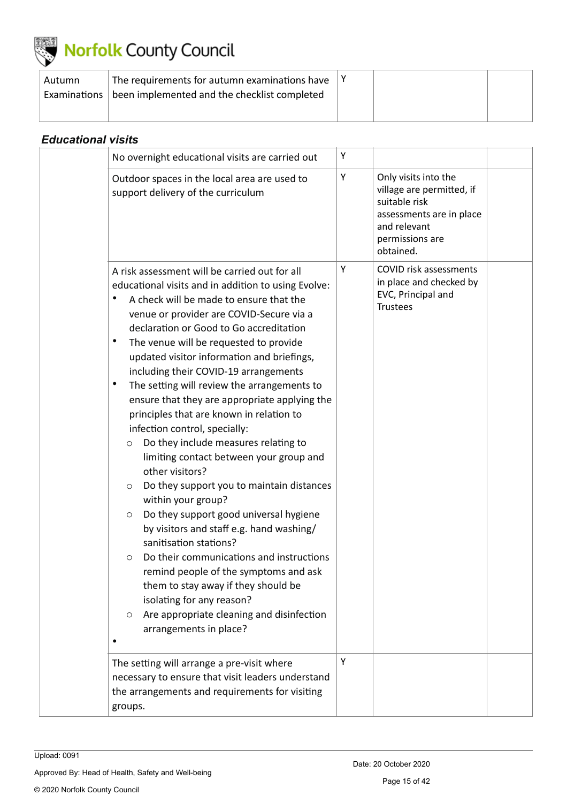

| Autumn | The requirements for autumn examinations have               |  |  |
|--------|-------------------------------------------------------------|--|--|
|        | Examinations   been implemented and the checklist completed |  |  |
|        |                                                             |  |  |

<span id="page-14-0"></span>

| <b>Educational visits</b> |                                                                                                                                                                                                                                                                                                                                                                                                                                                                                                                                                                                                                                                                                                                                                                                                                                                                                                                                                                                                                                                                                                                                                                               |   |                                                                                                                                                |
|---------------------------|-------------------------------------------------------------------------------------------------------------------------------------------------------------------------------------------------------------------------------------------------------------------------------------------------------------------------------------------------------------------------------------------------------------------------------------------------------------------------------------------------------------------------------------------------------------------------------------------------------------------------------------------------------------------------------------------------------------------------------------------------------------------------------------------------------------------------------------------------------------------------------------------------------------------------------------------------------------------------------------------------------------------------------------------------------------------------------------------------------------------------------------------------------------------------------|---|------------------------------------------------------------------------------------------------------------------------------------------------|
|                           | No overnight educational visits are carried out                                                                                                                                                                                                                                                                                                                                                                                                                                                                                                                                                                                                                                                                                                                                                                                                                                                                                                                                                                                                                                                                                                                               | Υ |                                                                                                                                                |
|                           | Outdoor spaces in the local area are used to<br>support delivery of the curriculum                                                                                                                                                                                                                                                                                                                                                                                                                                                                                                                                                                                                                                                                                                                                                                                                                                                                                                                                                                                                                                                                                            | Υ | Only visits into the<br>village are permitted, if<br>suitable risk<br>assessments are in place<br>and relevant<br>permissions are<br>obtained. |
|                           | A risk assessment will be carried out for all<br>educational visits and in addition to using Evolve:<br>A check will be made to ensure that the<br>٠<br>venue or provider are COVID-Secure via a<br>declaration or Good to Go accreditation<br>$\bullet$<br>The venue will be requested to provide<br>updated visitor information and briefings,<br>including their COVID-19 arrangements<br>The setting will review the arrangements to<br>٠<br>ensure that they are appropriate applying the<br>principles that are known in relation to<br>infection control, specially:<br>Do they include measures relating to<br>$\circlearrowright$<br>limiting contact between your group and<br>other visitors?<br>Do they support you to maintain distances<br>$\circ$<br>within your group?<br>Do they support good universal hygiene<br>$\circlearrowright$<br>by visitors and staff e.g. hand washing/<br>sanitisation stations?<br>Do their communications and instructions<br>O<br>remind people of the symptoms and ask<br>them to stay away if they should be<br>isolating for any reason?<br>Are appropriate cleaning and disinfection<br>$\circ$<br>arrangements in place? | Υ | COVID risk assessments<br>in place and checked by<br>EVC, Principal and<br><b>Trustees</b>                                                     |
|                           | The setting will arrange a pre-visit where<br>necessary to ensure that visit leaders understand<br>the arrangements and requirements for visiting<br>groups.                                                                                                                                                                                                                                                                                                                                                                                                                                                                                                                                                                                                                                                                                                                                                                                                                                                                                                                                                                                                                  | Υ |                                                                                                                                                |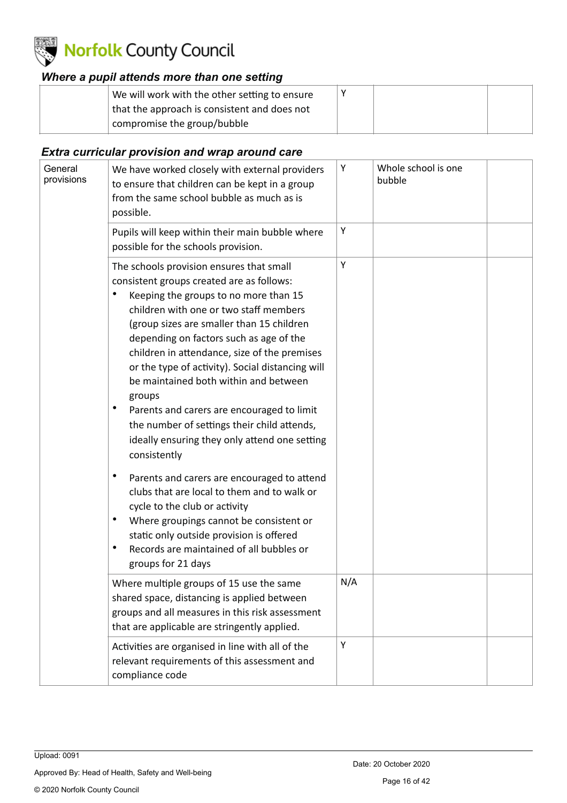

#### <span id="page-15-0"></span>*Where a pupil attends more than one setting*

| that the approach is consistent and does not | We will work with the other setting to ensure |  |  |
|----------------------------------------------|-----------------------------------------------|--|--|
| compromise the group/bubble                  |                                               |  |  |

#### <span id="page-15-1"></span>*Extra curricular provision and wrap around care*

| General<br>provisions | We have worked closely with external providers<br>to ensure that children can be kept in a group<br>from the same school bubble as much as is<br>possible.                                                                                                                                                                                                                                                                                                                                                                                                                                 | Υ   | Whole school is one<br>bubble |  |
|-----------------------|--------------------------------------------------------------------------------------------------------------------------------------------------------------------------------------------------------------------------------------------------------------------------------------------------------------------------------------------------------------------------------------------------------------------------------------------------------------------------------------------------------------------------------------------------------------------------------------------|-----|-------------------------------|--|
|                       | Pupils will keep within their main bubble where<br>possible for the schools provision.                                                                                                                                                                                                                                                                                                                                                                                                                                                                                                     | Υ   |                               |  |
|                       | The schools provision ensures that small<br>consistent groups created are as follows:<br>Keeping the groups to no more than 15<br>children with one or two staff members<br>(group sizes are smaller than 15 children<br>depending on factors such as age of the<br>children in attendance, size of the premises<br>or the type of activity). Social distancing will<br>be maintained both within and between<br>groups<br>Parents and carers are encouraged to limit<br>٠<br>the number of settings their child attends,<br>ideally ensuring they only attend one setting<br>consistently | Υ   |                               |  |
|                       | $\bullet$<br>Parents and carers are encouraged to attend<br>clubs that are local to them and to walk or<br>cycle to the club or activity<br>$\bullet$<br>Where groupings cannot be consistent or<br>static only outside provision is offered<br>$\bullet$<br>Records are maintained of all bubbles or<br>groups for 21 days                                                                                                                                                                                                                                                                |     |                               |  |
|                       | Where multiple groups of 15 use the same<br>shared space, distancing is applied between<br>groups and all measures in this risk assessment<br>that are applicable are stringently applied.                                                                                                                                                                                                                                                                                                                                                                                                 | N/A |                               |  |
|                       | Activities are organised in line with all of the<br>relevant requirements of this assessment and<br>compliance code                                                                                                                                                                                                                                                                                                                                                                                                                                                                        | Υ   |                               |  |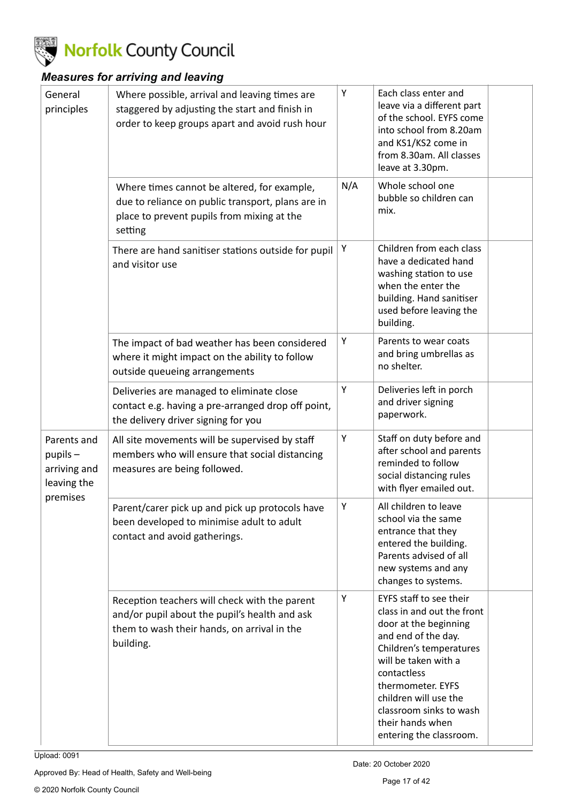

### <span id="page-16-0"></span>*Measures for arriving and leaving*

| General<br>principles                                       | Where possible, arrival and leaving times are<br>staggered by adjusting the start and finish in<br>order to keep groups apart and avoid rush hour          | Υ   | Each class enter and<br>leave via a different part<br>of the school. EYFS come<br>into school from 8.20am<br>and KS1/KS2 come in<br>from 8.30am. All classes<br>leave at 3.30pm.                                                                                                                |  |
|-------------------------------------------------------------|------------------------------------------------------------------------------------------------------------------------------------------------------------|-----|-------------------------------------------------------------------------------------------------------------------------------------------------------------------------------------------------------------------------------------------------------------------------------------------------|--|
|                                                             | Where times cannot be altered, for example,<br>due to reliance on public transport, plans are in<br>place to prevent pupils from mixing at the<br>setting  | N/A | Whole school one<br>bubble so children can<br>mix.                                                                                                                                                                                                                                              |  |
|                                                             | There are hand sanitiser stations outside for pupil<br>and visitor use                                                                                     | Υ   | Children from each class<br>have a dedicated hand<br>washing station to use<br>when the enter the<br>building. Hand sanitiser<br>used before leaving the<br>building.                                                                                                                           |  |
|                                                             | The impact of bad weather has been considered<br>where it might impact on the ability to follow<br>outside queueing arrangements                           | Υ   | Parents to wear coats<br>and bring umbrellas as<br>no shelter.                                                                                                                                                                                                                                  |  |
|                                                             | Deliveries are managed to eliminate close<br>contact e.g. having a pre-arranged drop off point,<br>the delivery driver signing for you                     | Υ   | Deliveries left in porch<br>and driver signing<br>paperwork.                                                                                                                                                                                                                                    |  |
| Parents and<br>$p$ upils $-$<br>arriving and<br>leaving the | All site movements will be supervised by staff<br>members who will ensure that social distancing<br>measures are being followed.                           | Υ   | Staff on duty before and<br>after school and parents<br>reminded to follow<br>social distancing rules<br>with flyer emailed out.                                                                                                                                                                |  |
| premises                                                    | Parent/carer pick up and pick up protocols have<br>been developed to minimise adult to adult<br>contact and avoid gatherings.                              | Υ   | All children to leave<br>school via the same<br>entrance that they<br>entered the building.<br>Parents advised of all<br>new systems and any<br>changes to systems.                                                                                                                             |  |
|                                                             | Reception teachers will check with the parent<br>and/or pupil about the pupil's health and ask<br>them to wash their hands, on arrival in the<br>building. | Υ   | EYFS staff to see their<br>class in and out the front<br>door at the beginning<br>and end of the day.<br>Children's temperatures<br>will be taken with a<br>contactless<br>thermometer. EYFS<br>children will use the<br>classroom sinks to wash<br>their hands when<br>entering the classroom. |  |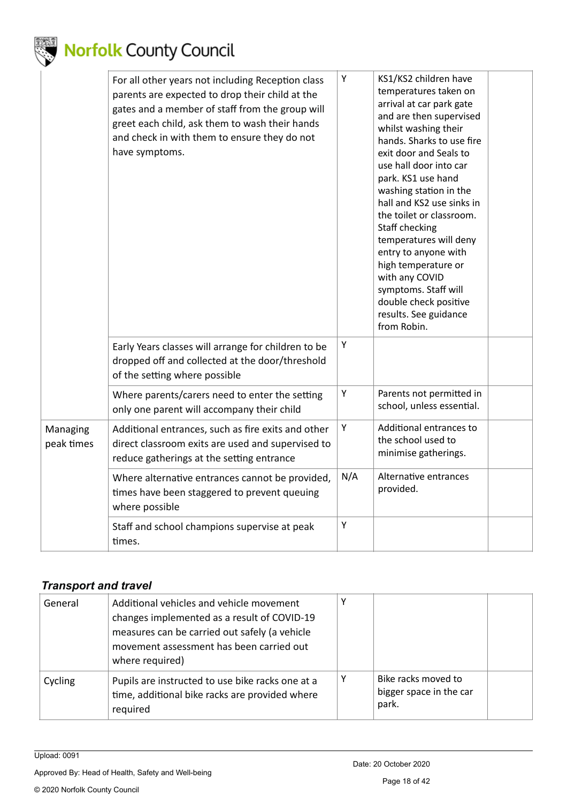

|                        | For all other years not including Reception class<br>parents are expected to drop their child at the<br>gates and a member of staff from the group will<br>greet each child, ask them to wash their hands<br>and check in with them to ensure they do not<br>have symptoms. | Υ   | KS1/KS2 children have<br>temperatures taken on<br>arrival at car park gate<br>and are then supervised<br>whilst washing their<br>hands. Sharks to use fire<br>exit door and Seals to<br>use hall door into car<br>park. KS1 use hand<br>washing station in the<br>hall and KS2 use sinks in<br>the toilet or classroom.<br>Staff checking<br>temperatures will deny<br>entry to anyone with<br>high temperature or<br>with any COVID<br>symptoms. Staff will<br>double check positive<br>results. See guidance<br>from Robin. |  |
|------------------------|-----------------------------------------------------------------------------------------------------------------------------------------------------------------------------------------------------------------------------------------------------------------------------|-----|-------------------------------------------------------------------------------------------------------------------------------------------------------------------------------------------------------------------------------------------------------------------------------------------------------------------------------------------------------------------------------------------------------------------------------------------------------------------------------------------------------------------------------|--|
|                        | Early Years classes will arrange for children to be<br>dropped off and collected at the door/threshold<br>of the setting where possible                                                                                                                                     | Y   |                                                                                                                                                                                                                                                                                                                                                                                                                                                                                                                               |  |
|                        | Where parents/carers need to enter the setting<br>only one parent will accompany their child                                                                                                                                                                                | Υ   | Parents not permitted in<br>school, unless essential.                                                                                                                                                                                                                                                                                                                                                                                                                                                                         |  |
| Managing<br>peak times | Additional entrances, such as fire exits and other<br>direct classroom exits are used and supervised to<br>reduce gatherings at the setting entrance                                                                                                                        | Υ   | Additional entrances to<br>the school used to<br>minimise gatherings.                                                                                                                                                                                                                                                                                                                                                                                                                                                         |  |
|                        | Where alternative entrances cannot be provided,<br>times have been staggered to prevent queuing<br>where possible                                                                                                                                                           | N/A | Alternative entrances<br>provided.                                                                                                                                                                                                                                                                                                                                                                                                                                                                                            |  |
|                        | Staff and school champions supervise at peak<br>times.                                                                                                                                                                                                                      | Y   |                                                                                                                                                                                                                                                                                                                                                                                                                                                                                                                               |  |

### <span id="page-17-0"></span>*Transport and travel*

| General | Additional vehicles and vehicle movement<br>changes implemented as a result of COVID-19<br>measures can be carried out safely (a vehicle<br>movement assessment has been carried out<br>where required) |   |                                                         |  |
|---------|---------------------------------------------------------------------------------------------------------------------------------------------------------------------------------------------------------|---|---------------------------------------------------------|--|
| Cycling | Pupils are instructed to use bike racks one at a<br>time, additional bike racks are provided where<br>required                                                                                          | Υ | Bike racks moved to<br>bigger space in the car<br>park. |  |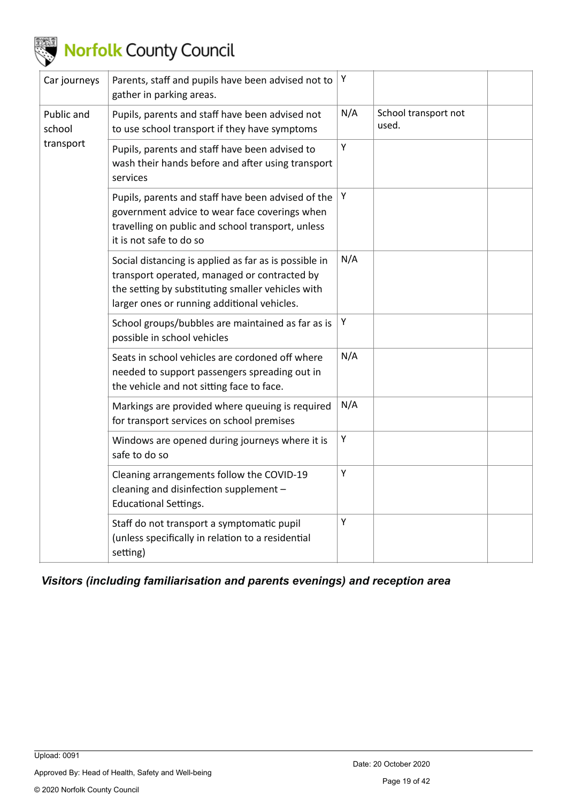

| Car journeys         | Parents, staff and pupils have been advised not to<br>gather in parking areas.                                                                                                                            | Y   |                               |  |
|----------------------|-----------------------------------------------------------------------------------------------------------------------------------------------------------------------------------------------------------|-----|-------------------------------|--|
| Public and<br>school | Pupils, parents and staff have been advised not<br>to use school transport if they have symptoms                                                                                                          | N/A | School transport not<br>used. |  |
| transport            | Pupils, parents and staff have been advised to<br>wash their hands before and after using transport<br>services                                                                                           | Υ   |                               |  |
|                      | Pupils, parents and staff have been advised of the<br>government advice to wear face coverings when<br>travelling on public and school transport, unless<br>it is not safe to do so                       | Υ   |                               |  |
|                      | Social distancing is applied as far as is possible in<br>transport operated, managed or contracted by<br>the setting by substituting smaller vehicles with<br>larger ones or running additional vehicles. | N/A |                               |  |
|                      | School groups/bubbles are maintained as far as is<br>possible in school vehicles                                                                                                                          | Υ   |                               |  |
|                      | Seats in school vehicles are cordoned off where<br>needed to support passengers spreading out in<br>the vehicle and not sitting face to face.                                                             | N/A |                               |  |
|                      | Markings are provided where queuing is required<br>for transport services on school premises                                                                                                              | N/A |                               |  |
|                      | Windows are opened during journeys where it is<br>safe to do so                                                                                                                                           | Υ   |                               |  |
|                      | Cleaning arrangements follow the COVID-19<br>cleaning and disinfection supplement -<br><b>Educational Settings.</b>                                                                                       | Υ   |                               |  |
|                      | Staff do not transport a symptomatic pupil<br>(unless specifically in relation to a residential<br>setting)                                                                                               | Υ   |                               |  |

<span id="page-18-0"></span>*Visitors (including familiarisation and parents evenings) and reception area*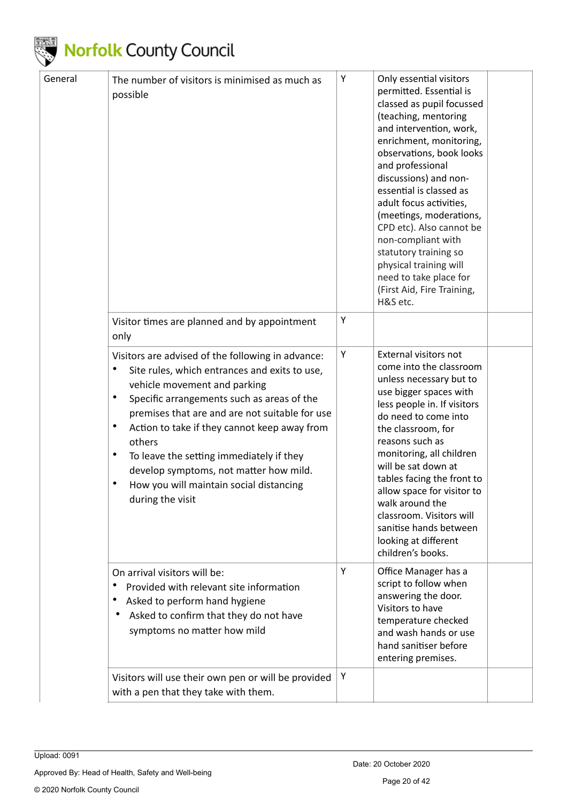

| General | The number of visitors is minimised as much as<br>possible                                                                                                                                                                                                                                                                                                                                                                                                                                            | Υ | Only essential visitors<br>permitted. Essential is<br>classed as pupil focussed<br>(teaching, mentoring<br>and intervention, work,<br>enrichment, monitoring,<br>observations, book looks<br>and professional<br>discussions) and non-<br>essential is classed as<br>adult focus activities,<br>(meetings, moderations,<br>CPD etc). Also cannot be<br>non-compliant with<br>statutory training so<br>physical training will<br>need to take place for<br>(First Aid, Fire Training,<br>H&S etc. |  |
|---------|-------------------------------------------------------------------------------------------------------------------------------------------------------------------------------------------------------------------------------------------------------------------------------------------------------------------------------------------------------------------------------------------------------------------------------------------------------------------------------------------------------|---|--------------------------------------------------------------------------------------------------------------------------------------------------------------------------------------------------------------------------------------------------------------------------------------------------------------------------------------------------------------------------------------------------------------------------------------------------------------------------------------------------|--|
|         | Visitor times are planned and by appointment<br>only                                                                                                                                                                                                                                                                                                                                                                                                                                                  | Υ |                                                                                                                                                                                                                                                                                                                                                                                                                                                                                                  |  |
|         | Visitors are advised of the following in advance:<br>$\bullet$<br>Site rules, which entrances and exits to use,<br>vehicle movement and parking<br>Specific arrangements such as areas of the<br>$\bullet$<br>premises that are and are not suitable for use<br>$\bullet$<br>Action to take if they cannot keep away from<br>others<br>$\bullet$<br>To leave the setting immediately if they<br>develop symptoms, not matter how mild.<br>How you will maintain social distancing<br>during the visit | Υ | External visitors not<br>come into the classroom<br>unless necessary but to<br>use bigger spaces with<br>less people in. If visitors<br>do need to come into<br>the classroom, for<br>reasons such as<br>monitoring, all children<br>will be sat down at<br>tables facing the front to<br>allow space for visitor to<br>walk around the<br>classroom. Visitors will<br>sanitise hands between<br>looking at different<br>children's books.                                                       |  |
|         | On arrival visitors will be:<br>Provided with relevant site information<br>Asked to perform hand hygiene<br>Asked to confirm that they do not have<br>symptoms no matter how mild                                                                                                                                                                                                                                                                                                                     | Υ | Office Manager has a<br>script to follow when<br>answering the door.<br>Visitors to have<br>temperature checked<br>and wash hands or use<br>hand sanitiser before<br>entering premises.                                                                                                                                                                                                                                                                                                          |  |
|         | Visitors will use their own pen or will be provided<br>with a pen that they take with them.                                                                                                                                                                                                                                                                                                                                                                                                           | Υ |                                                                                                                                                                                                                                                                                                                                                                                                                                                                                                  |  |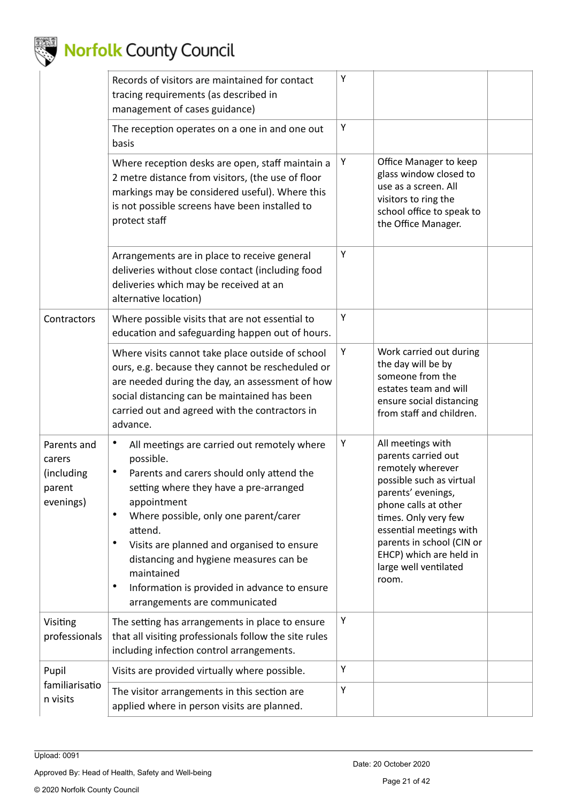

|                                                            | Records of visitors are maintained for contact<br>tracing requirements (as described in<br>management of cases guidance)                                                                                                                                                                                                                                                                                                    | Υ |                                                                                                                                                                                                                                                                                      |  |
|------------------------------------------------------------|-----------------------------------------------------------------------------------------------------------------------------------------------------------------------------------------------------------------------------------------------------------------------------------------------------------------------------------------------------------------------------------------------------------------------------|---|--------------------------------------------------------------------------------------------------------------------------------------------------------------------------------------------------------------------------------------------------------------------------------------|--|
|                                                            | The reception operates on a one in and one out<br>basis                                                                                                                                                                                                                                                                                                                                                                     | Υ |                                                                                                                                                                                                                                                                                      |  |
|                                                            | Where reception desks are open, staff maintain a<br>2 metre distance from visitors, (the use of floor<br>markings may be considered useful). Where this<br>is not possible screens have been installed to<br>protect staff                                                                                                                                                                                                  | Υ | Office Manager to keep<br>glass window closed to<br>use as a screen. All<br>visitors to ring the<br>school office to speak to<br>the Office Manager.                                                                                                                                 |  |
|                                                            | Arrangements are in place to receive general<br>deliveries without close contact (including food<br>deliveries which may be received at an<br>alternative location)                                                                                                                                                                                                                                                         | Υ |                                                                                                                                                                                                                                                                                      |  |
| Contractors                                                | Where possible visits that are not essential to<br>education and safeguarding happen out of hours.                                                                                                                                                                                                                                                                                                                          | Υ |                                                                                                                                                                                                                                                                                      |  |
|                                                            | Where visits cannot take place outside of school<br>ours, e.g. because they cannot be rescheduled or<br>are needed during the day, an assessment of how<br>social distancing can be maintained has been<br>carried out and agreed with the contractors in<br>advance.                                                                                                                                                       | Υ | Work carried out during<br>the day will be by<br>someone from the<br>estates team and will<br>ensure social distancing<br>from staff and children.                                                                                                                                   |  |
| Parents and<br>carers<br>(including<br>parent<br>evenings) | All meetings are carried out remotely where<br>possible.<br>Parents and carers should only attend the<br>setting where they have a pre-arranged<br>appointment<br>Where possible, only one parent/carer<br>attend.<br>Visits are planned and organised to ensure<br>٠<br>distancing and hygiene measures can be<br>maintained<br>$\bullet$<br>Information is provided in advance to ensure<br>arrangements are communicated | Υ | All meetings with<br>parents carried out<br>remotely wherever<br>possible such as virtual<br>parents' evenings,<br>phone calls at other<br>times. Only very few<br>essential meetings with<br>parents in school (CIN or<br>EHCP) which are held in<br>large well ventilated<br>room. |  |
| Visiting<br>professionals                                  | The setting has arrangements in place to ensure<br>that all visiting professionals follow the site rules<br>including infection control arrangements.                                                                                                                                                                                                                                                                       | Υ |                                                                                                                                                                                                                                                                                      |  |
| Pupil                                                      | Visits are provided virtually where possible.                                                                                                                                                                                                                                                                                                                                                                               | Υ |                                                                                                                                                                                                                                                                                      |  |
| familiarisatio<br>n visits                                 | The visitor arrangements in this section are<br>applied where in person visits are planned.                                                                                                                                                                                                                                                                                                                                 | Υ |                                                                                                                                                                                                                                                                                      |  |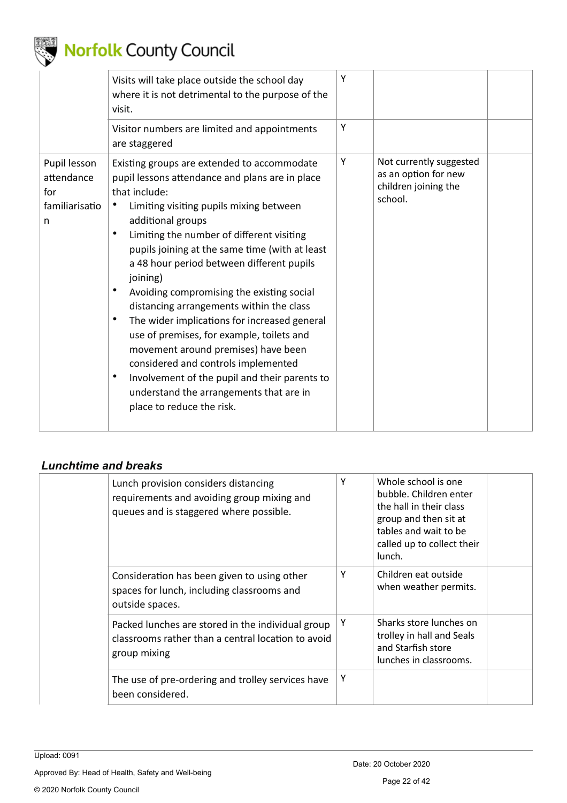

|                                                          | Visits will take place outside the school day<br>where it is not detrimental to the purpose of the<br>visit.                                                                                                                                                                                                                                                                                                                                                                                                                                                                                                                                                                                                                                                                             | Y |                                                                                    |  |
|----------------------------------------------------------|------------------------------------------------------------------------------------------------------------------------------------------------------------------------------------------------------------------------------------------------------------------------------------------------------------------------------------------------------------------------------------------------------------------------------------------------------------------------------------------------------------------------------------------------------------------------------------------------------------------------------------------------------------------------------------------------------------------------------------------------------------------------------------------|---|------------------------------------------------------------------------------------|--|
|                                                          | Visitor numbers are limited and appointments<br>are staggered                                                                                                                                                                                                                                                                                                                                                                                                                                                                                                                                                                                                                                                                                                                            | Y |                                                                                    |  |
| Pupil lesson<br>attendance<br>for<br>familiarisatio<br>n | Existing groups are extended to accommodate<br>pupil lessons attendance and plans are in place<br>that include:<br>Limiting visiting pupils mixing between<br>additional groups<br>$\bullet$<br>Limiting the number of different visiting<br>pupils joining at the same time (with at least<br>a 48 hour period between different pupils<br>joining)<br>Avoiding compromising the existing social<br>$\bullet$<br>distancing arrangements within the class<br>The wider implications for increased general<br>$\bullet$<br>use of premises, for example, toilets and<br>movement around premises) have been<br>considered and controls implemented<br>Involvement of the pupil and their parents to<br>$\bullet$<br>understand the arrangements that are in<br>place to reduce the risk. | Υ | Not currently suggested<br>as an option for new<br>children joining the<br>school. |  |

### <span id="page-21-0"></span>*Lunchtime and breaks*

| Lunch provision considers distancing<br>requirements and avoiding group mixing and<br>queues and is staggered where possible. | Υ | Whole school is one<br>bubble. Children enter<br>the hall in their class<br>group and then sit at<br>tables and wait to be<br>called up to collect their<br>lunch. |  |
|-------------------------------------------------------------------------------------------------------------------------------|---|--------------------------------------------------------------------------------------------------------------------------------------------------------------------|--|
| Consideration has been given to using other<br>spaces for lunch, including classrooms and<br>outside spaces.                  | Υ | Children eat outside<br>when weather permits.                                                                                                                      |  |
| Packed lunches are stored in the individual group<br>classrooms rather than a central location to avoid<br>group mixing       | Υ | Sharks store lunches on<br>trolley in hall and Seals<br>and Starfish store<br>lunches in classrooms.                                                               |  |
| The use of pre-ordering and trolley services have<br>been considered.                                                         | Y |                                                                                                                                                                    |  |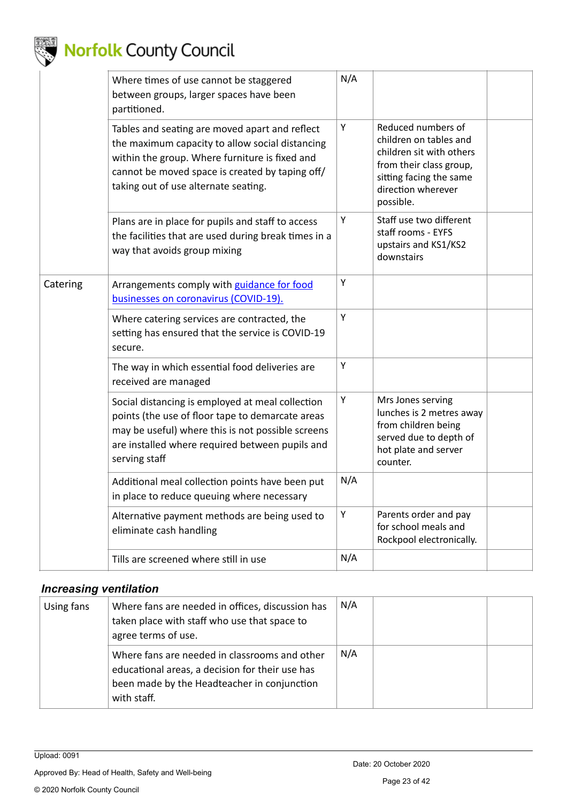

|          | Where times of use cannot be staggered<br>between groups, larger spaces have been<br>partitioned.                                                                                                                                              | N/A |                                                                                                                                                                   |  |
|----------|------------------------------------------------------------------------------------------------------------------------------------------------------------------------------------------------------------------------------------------------|-----|-------------------------------------------------------------------------------------------------------------------------------------------------------------------|--|
|          | Tables and seating are moved apart and reflect<br>the maximum capacity to allow social distancing<br>within the group. Where furniture is fixed and<br>cannot be moved space is created by taping off/<br>taking out of use alternate seating. | Υ   | Reduced numbers of<br>children on tables and<br>children sit with others<br>from their class group,<br>sitting facing the same<br>direction wherever<br>possible. |  |
|          | Plans are in place for pupils and staff to access<br>the facilities that are used during break times in a<br>way that avoids group mixing                                                                                                      | Y   | Staff use two different<br>staff rooms - EYFS<br>upstairs and KS1/KS2<br>downstairs                                                                               |  |
| Catering | Arrangements comply with guidance for food<br>businesses on coronavirus (COVID-19).                                                                                                                                                            | Y   |                                                                                                                                                                   |  |
|          | Where catering services are contracted, the<br>setting has ensured that the service is COVID-19<br>secure.                                                                                                                                     | Υ   |                                                                                                                                                                   |  |
|          | The way in which essential food deliveries are<br>received are managed                                                                                                                                                                         | Υ   |                                                                                                                                                                   |  |
|          | Social distancing is employed at meal collection<br>points (the use of floor tape to demarcate areas<br>may be useful) where this is not possible screens<br>are installed where required between pupils and<br>serving staff                  | Υ   | Mrs Jones serving<br>lunches is 2 metres away<br>from children being<br>served due to depth of<br>hot plate and server<br>counter.                                |  |
|          | Additional meal collection points have been put<br>in place to reduce queuing where necessary                                                                                                                                                  | N/A |                                                                                                                                                                   |  |
|          | Alternative payment methods are being used to<br>eliminate cash handling                                                                                                                                                                       | Υ   | Parents order and pay<br>for school meals and<br>Rockpool electronically.                                                                                         |  |
|          | Tills are screened where still in use                                                                                                                                                                                                          | N/A |                                                                                                                                                                   |  |
|          |                                                                                                                                                                                                                                                |     |                                                                                                                                                                   |  |

#### <span id="page-22-0"></span>*Increasing ventilation*

| Using fans | Where fans are needed in offices, discussion has<br>taken place with staff who use that space to<br>agree terms of use.                                        | N/A |  |
|------------|----------------------------------------------------------------------------------------------------------------------------------------------------------------|-----|--|
|            | Where fans are needed in classrooms and other<br>educational areas, a decision for their use has<br>been made by the Headteacher in conjunction<br>with staff. | N/A |  |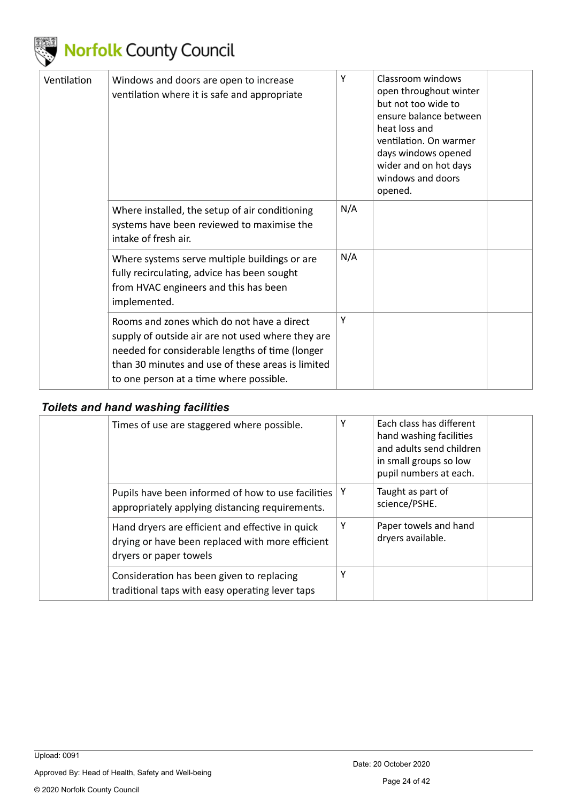

| Ventilation | Windows and doors are open to increase<br>ventilation where it is safe and appropriate                                                                                                                                                             | Υ   | Classroom windows<br>open throughout winter<br>but not too wide to<br>ensure balance between<br>heat loss and<br>ventilation. On warmer<br>days windows opened<br>wider and on hot days<br>windows and doors<br>opened. |  |
|-------------|----------------------------------------------------------------------------------------------------------------------------------------------------------------------------------------------------------------------------------------------------|-----|-------------------------------------------------------------------------------------------------------------------------------------------------------------------------------------------------------------------------|--|
|             | Where installed, the setup of air conditioning<br>systems have been reviewed to maximise the<br>intake of fresh air.                                                                                                                               | N/A |                                                                                                                                                                                                                         |  |
|             | Where systems serve multiple buildings or are<br>fully recirculating, advice has been sought<br>from HVAC engineers and this has been<br>implemented.                                                                                              | N/A |                                                                                                                                                                                                                         |  |
|             | Rooms and zones which do not have a direct<br>supply of outside air are not used where they are<br>needed for considerable lengths of time (longer<br>than 30 minutes and use of these areas is limited<br>to one person at a time where possible. | Υ   |                                                                                                                                                                                                                         |  |

#### <span id="page-23-0"></span>*Toilets and hand washing facilities*

| Times of use are staggered where possible.                                                                                     | Υ | Each class has different<br>hand washing facilities<br>and adults send children<br>in small groups so low<br>pupil numbers at each. |
|--------------------------------------------------------------------------------------------------------------------------------|---|-------------------------------------------------------------------------------------------------------------------------------------|
| Pupils have been informed of how to use facilities<br>appropriately applying distancing requirements.                          | Y | Taught as part of<br>science/PSHE.                                                                                                  |
| Hand dryers are efficient and effective in quick<br>drying or have been replaced with more efficient<br>dryers or paper towels | Υ | Paper towels and hand<br>dryers available.                                                                                          |
| Consideration has been given to replacing<br>traditional taps with easy operating lever taps                                   | Υ |                                                                                                                                     |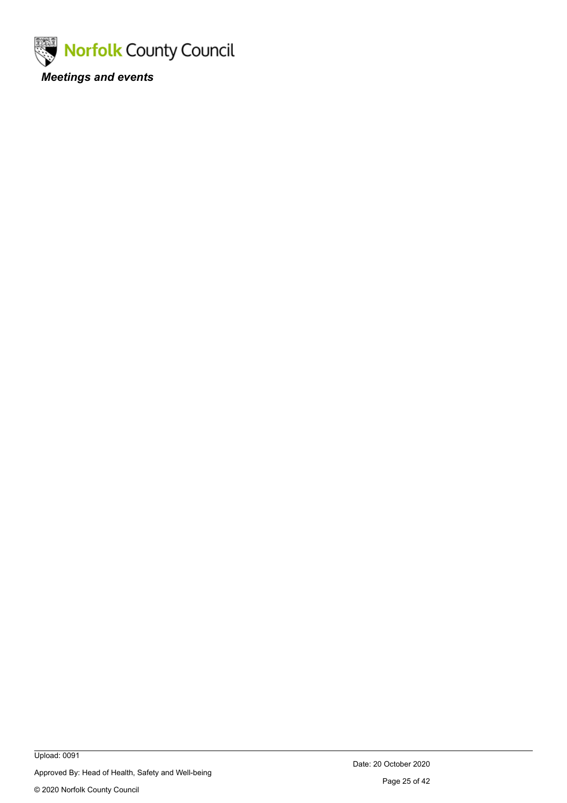<span id="page-24-0"></span>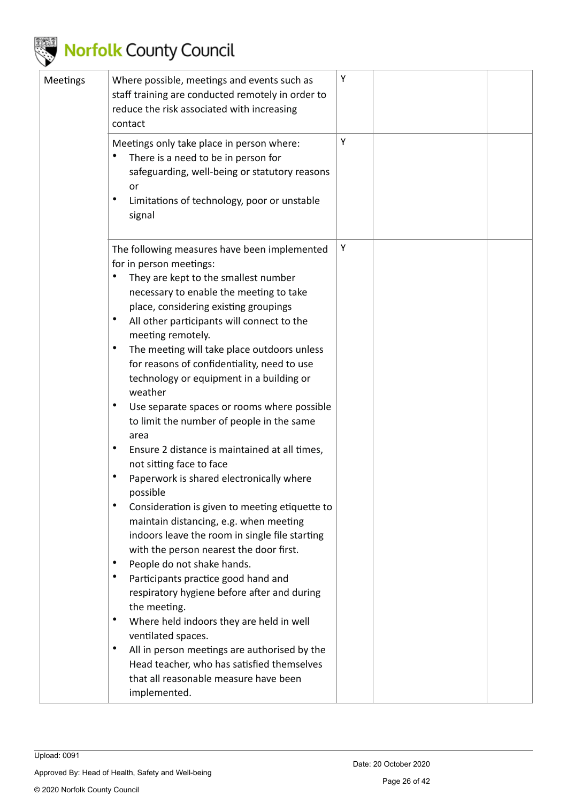

| Meetings | Where possible, meetings and events such as<br>staff training are conducted remotely in order to<br>reduce the risk associated with increasing<br>contact                                                                                                                                                                                                                                                                                                                                                                                                                                                                                                                                                                                                                                                                                                                                                                                                                                                                                                                                                                                                                                                                                                                                                                                                 | Υ |  |
|----------|-----------------------------------------------------------------------------------------------------------------------------------------------------------------------------------------------------------------------------------------------------------------------------------------------------------------------------------------------------------------------------------------------------------------------------------------------------------------------------------------------------------------------------------------------------------------------------------------------------------------------------------------------------------------------------------------------------------------------------------------------------------------------------------------------------------------------------------------------------------------------------------------------------------------------------------------------------------------------------------------------------------------------------------------------------------------------------------------------------------------------------------------------------------------------------------------------------------------------------------------------------------------------------------------------------------------------------------------------------------|---|--|
|          | Meetings only take place in person where:<br>There is a need to be in person for<br>safeguarding, well-being or statutory reasons<br>or<br>$\bullet$<br>Limitations of technology, poor or unstable<br>signal                                                                                                                                                                                                                                                                                                                                                                                                                                                                                                                                                                                                                                                                                                                                                                                                                                                                                                                                                                                                                                                                                                                                             | Υ |  |
|          | The following measures have been implemented<br>for in person meetings:<br>They are kept to the smallest number<br>٠<br>necessary to enable the meeting to take<br>place, considering existing groupings<br>$\bullet$<br>All other participants will connect to the<br>meeting remotely.<br>$\bullet$<br>The meeting will take place outdoors unless<br>for reasons of confidentiality, need to use<br>technology or equipment in a building or<br>weather<br>$\bullet$<br>Use separate spaces or rooms where possible<br>to limit the number of people in the same<br>area<br>$\bullet$<br>Ensure 2 distance is maintained at all times,<br>not sitting face to face<br>$\bullet$<br>Paperwork is shared electronically where<br>possible<br>$\bullet$<br>Consideration is given to meeting etiquette to<br>maintain distancing, e.g. when meeting<br>indoors leave the room in single file starting<br>with the person nearest the door first.<br>People do not shake hands.<br>٠<br>$\bullet$<br>Participants practice good hand and<br>respiratory hygiene before after and during<br>the meeting.<br>$\bullet$<br>Where held indoors they are held in well<br>ventilated spaces.<br>$\bullet$<br>All in person meetings are authorised by the<br>Head teacher, who has satisfied themselves<br>that all reasonable measure have been<br>implemented. | Υ |  |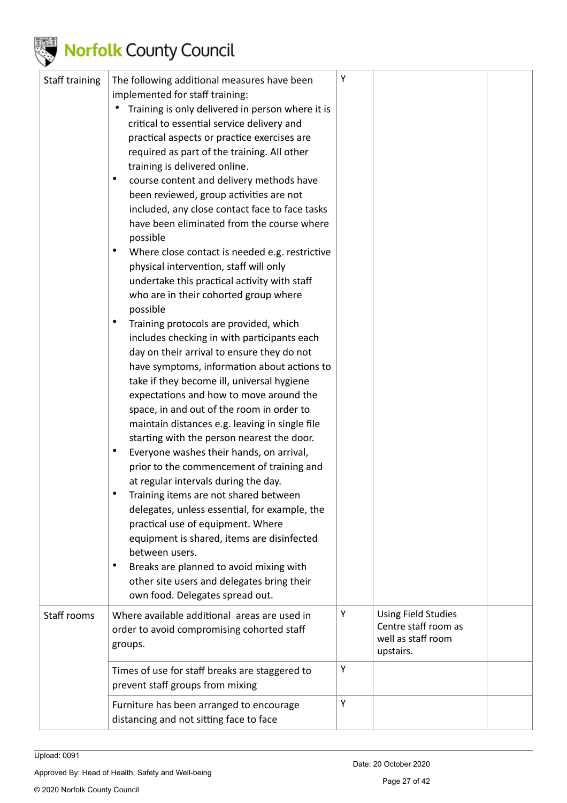

| Staff training | The following additional measures have been<br>implemented for staff training: | Υ |                            |  |
|----------------|--------------------------------------------------------------------------------|---|----------------------------|--|
|                | Training is only delivered in person where it is                               |   |                            |  |
|                | critical to essential service delivery and                                     |   |                            |  |
|                | practical aspects or practice exercises are                                    |   |                            |  |
|                | required as part of the training. All other                                    |   |                            |  |
|                | training is delivered online.<br>$\bullet$                                     |   |                            |  |
|                | course content and delivery methods have                                       |   |                            |  |
|                | been reviewed, group activities are not                                        |   |                            |  |
|                | included, any close contact face to face tasks                                 |   |                            |  |
|                | have been eliminated from the course where                                     |   |                            |  |
|                | possible<br>$\bullet$                                                          |   |                            |  |
|                | Where close contact is needed e.g. restrictive                                 |   |                            |  |
|                | physical intervention, staff will only                                         |   |                            |  |
|                | undertake this practical activity with staff                                   |   |                            |  |
|                | who are in their cohorted group where<br>possible                              |   |                            |  |
|                | $\bullet$<br>Training protocols are provided, which                            |   |                            |  |
|                | includes checking in with participants each                                    |   |                            |  |
|                | day on their arrival to ensure they do not                                     |   |                            |  |
|                | have symptoms, information about actions to                                    |   |                            |  |
|                | take if they become ill, universal hygiene                                     |   |                            |  |
|                | expectations and how to move around the                                        |   |                            |  |
|                | space, in and out of the room in order to                                      |   |                            |  |
|                | maintain distances e.g. leaving in single file                                 |   |                            |  |
|                | starting with the person nearest the door.                                     |   |                            |  |
|                | $\bullet$<br>Everyone washes their hands, on arrival,                          |   |                            |  |
|                | prior to the commencement of training and                                      |   |                            |  |
|                | at regular intervals during the day.                                           |   |                            |  |
|                | Training items are not shared between<br>٠                                     |   |                            |  |
|                | delegates, unless essential, for example, the                                  |   |                            |  |
|                | practical use of equipment. Where                                              |   |                            |  |
|                | equipment is shared, items are disinfected                                     |   |                            |  |
|                | between users.                                                                 |   |                            |  |
|                | $\bullet$<br>Breaks are planned to avoid mixing with                           |   |                            |  |
|                | other site users and delegates bring their                                     |   |                            |  |
|                | own food. Delegates spread out.                                                |   |                            |  |
| Staff rooms    | Where available additional areas are used in                                   | Υ | <b>Using Field Studies</b> |  |
|                | order to avoid compromising cohorted staff                                     |   | Centre staff room as       |  |
|                | groups.                                                                        |   | well as staff room         |  |
|                |                                                                                |   | upstairs.                  |  |
|                | Times of use for staff breaks are staggered to                                 | Υ |                            |  |
|                | prevent staff groups from mixing                                               |   |                            |  |
|                | Furniture has been arranged to encourage                                       | Υ |                            |  |
|                | distancing and not sitting face to face                                        |   |                            |  |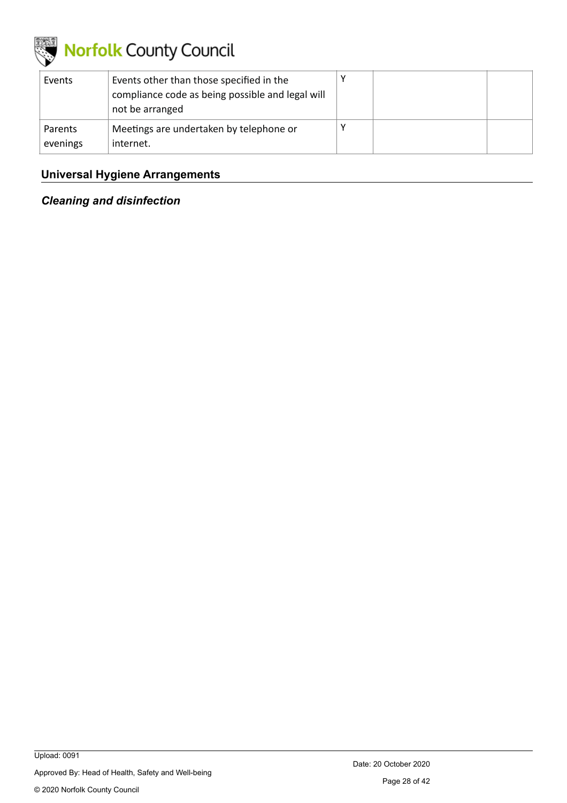

| Events              | Events other than those specified in the<br>compliance code as being possible and legal will<br>not be arranged |  |  |
|---------------------|-----------------------------------------------------------------------------------------------------------------|--|--|
| Parents<br>evenings | Meetings are undertaken by telephone or<br>internet.                                                            |  |  |

### <span id="page-27-0"></span>**Universal Hygiene Arrangements**

<span id="page-27-1"></span>*Cleaning and disinfection*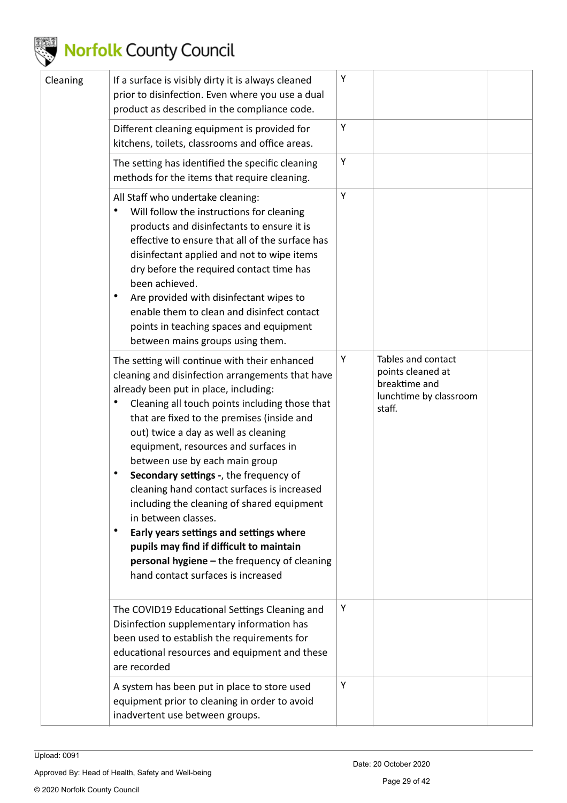

| Cleaning | If a surface is visibly dirty it is always cleaned<br>prior to disinfection. Even where you use a dual<br>product as described in the compliance code.                                                                                                                                                                                                                                                                                                                                                                                                                                                                                                                                                                            | Υ |                                                                                              |  |
|----------|-----------------------------------------------------------------------------------------------------------------------------------------------------------------------------------------------------------------------------------------------------------------------------------------------------------------------------------------------------------------------------------------------------------------------------------------------------------------------------------------------------------------------------------------------------------------------------------------------------------------------------------------------------------------------------------------------------------------------------------|---|----------------------------------------------------------------------------------------------|--|
|          | Different cleaning equipment is provided for<br>kitchens, toilets, classrooms and office areas.                                                                                                                                                                                                                                                                                                                                                                                                                                                                                                                                                                                                                                   | Υ |                                                                                              |  |
|          | The setting has identified the specific cleaning<br>methods for the items that require cleaning.                                                                                                                                                                                                                                                                                                                                                                                                                                                                                                                                                                                                                                  | Υ |                                                                                              |  |
|          | All Staff who undertake cleaning:<br>$\bullet$<br>Will follow the instructions for cleaning<br>products and disinfectants to ensure it is<br>effective to ensure that all of the surface has<br>disinfectant applied and not to wipe items<br>dry before the required contact time has<br>been achieved.<br>$\bullet$<br>Are provided with disinfectant wipes to<br>enable them to clean and disinfect contact<br>points in teaching spaces and equipment<br>between mains groups using them.                                                                                                                                                                                                                                     | Υ |                                                                                              |  |
|          | The setting will continue with their enhanced<br>cleaning and disinfection arrangements that have<br>already been put in place, including:<br>Cleaning all touch points including those that<br>that are fixed to the premises (inside and<br>out) twice a day as well as cleaning<br>equipment, resources and surfaces in<br>between use by each main group<br>$\bullet$<br>Secondary settings -, the frequency of<br>cleaning hand contact surfaces is increased<br>including the cleaning of shared equipment<br>in between classes.<br>Early years settings and settings where<br>$\bullet$<br>pupils may find if difficult to maintain<br>personal hygiene - the frequency of cleaning<br>hand contact surfaces is increased | Υ | Tables and contact<br>points cleaned at<br>breaktime and<br>lunchtime by classroom<br>staff. |  |
|          | The COVID19 Educational Settings Cleaning and<br>Disinfection supplementary information has<br>been used to establish the requirements for<br>educational resources and equipment and these<br>are recorded                                                                                                                                                                                                                                                                                                                                                                                                                                                                                                                       | Υ |                                                                                              |  |
|          | A system has been put in place to store used<br>equipment prior to cleaning in order to avoid<br>inadvertent use between groups.                                                                                                                                                                                                                                                                                                                                                                                                                                                                                                                                                                                                  | Υ |                                                                                              |  |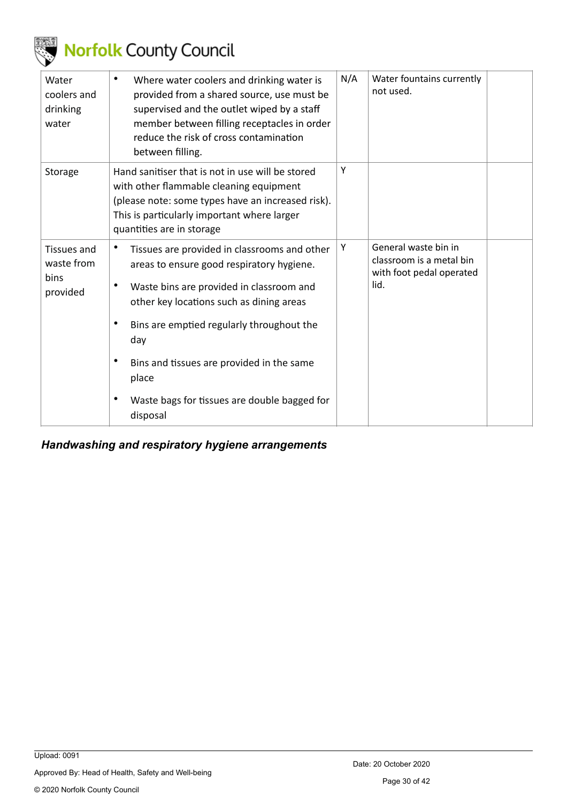

| Water<br>coolers and<br>drinking<br>water     | Where water coolers and drinking water is<br>٠<br>provided from a shared source, use must be<br>supervised and the outlet wiped by a staff<br>member between filling receptacles in order<br>reduce the risk of cross contamination<br>between filling.                                                                   | N/A | Water fountains currently<br>not used.                                               |
|-----------------------------------------------|---------------------------------------------------------------------------------------------------------------------------------------------------------------------------------------------------------------------------------------------------------------------------------------------------------------------------|-----|--------------------------------------------------------------------------------------|
| Storage                                       | Hand sanitiser that is not in use will be stored<br>with other flammable cleaning equipment<br>(please note: some types have an increased risk).<br>This is particularly important where larger<br>quantities are in storage                                                                                              | Y   |                                                                                      |
| Tissues and<br>waste from<br>bins<br>provided | Tissues are provided in classrooms and other<br>areas to ensure good respiratory hygiene.<br>$\bullet$<br>Waste bins are provided in classroom and<br>other key locations such as dining areas<br>Bins are emptied regularly throughout the<br>$\bullet$<br>day<br>$\bullet$<br>Bins and tissues are provided in the same | Υ   | General waste bin in<br>classroom is a metal bin<br>with foot pedal operated<br>lid. |
|                                               | place<br>$\bullet$<br>Waste bags for tissues are double bagged for<br>disposal                                                                                                                                                                                                                                            |     |                                                                                      |

<span id="page-29-0"></span>*Handwashing and respiratory hygiene arrangements*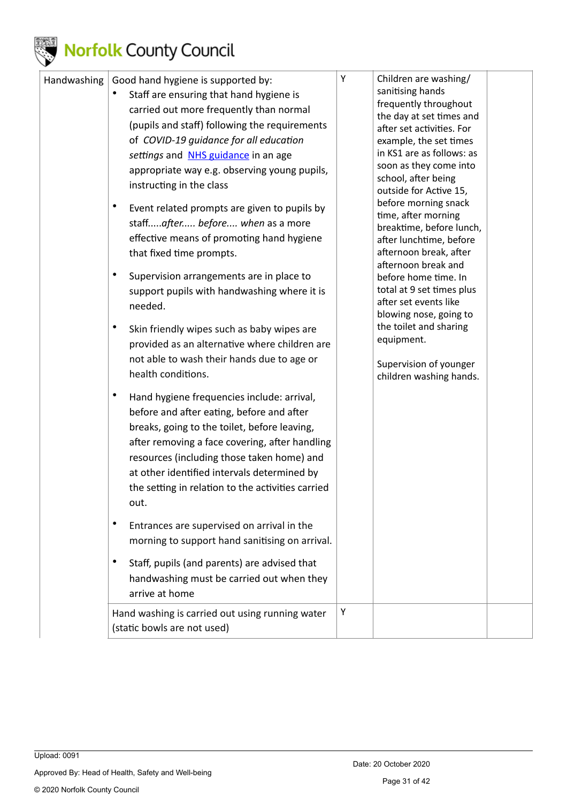

| Handwashing | Good hand hygiene is supported by:<br>Staff are ensuring that hand hygiene is<br>carried out more frequently than normal<br>(pupils and staff) following the requirements<br>of COVID-19 guidance for all education<br>settings and NHS guidance in an age<br>appropriate way e.g. observing young pupils,<br>instructing in the class<br>$\bullet$<br>Event related prompts are given to pupils by<br>staffafter before when as a more<br>effective means of promoting hand hygiene<br>that fixed time prompts.<br>$\bullet$<br>Supervision arrangements are in place to<br>support pupils with handwashing where it is<br>needed.<br>Skin friendly wipes such as baby wipes are<br>provided as an alternative where children are<br>not able to wash their hands due to age or<br>health conditions. | Υ | Children are washing/<br>sanitising hands<br>frequently throughout<br>the day at set times and<br>after set activities. For<br>example, the set times<br>in KS1 are as follows: as<br>soon as they come into<br>school, after being<br>outside for Active 15,<br>before morning snack<br>time, after morning<br>breaktime, before lunch,<br>after lunchtime, before<br>afternoon break, after<br>afternoon break and<br>before home time. In<br>total at 9 set times plus<br>after set events like<br>blowing nose, going to<br>the toilet and sharing<br>equipment.<br>Supervision of younger |  |
|-------------|--------------------------------------------------------------------------------------------------------------------------------------------------------------------------------------------------------------------------------------------------------------------------------------------------------------------------------------------------------------------------------------------------------------------------------------------------------------------------------------------------------------------------------------------------------------------------------------------------------------------------------------------------------------------------------------------------------------------------------------------------------------------------------------------------------|---|------------------------------------------------------------------------------------------------------------------------------------------------------------------------------------------------------------------------------------------------------------------------------------------------------------------------------------------------------------------------------------------------------------------------------------------------------------------------------------------------------------------------------------------------------------------------------------------------|--|
|             | Hand hygiene frequencies include: arrival,<br>before and after eating, before and after<br>breaks, going to the toilet, before leaving,<br>after removing a face covering, after handling<br>resources (including those taken home) and<br>at other identified intervals determined by<br>the setting in relation to the activities carried<br>out.<br>$\bullet$<br>Entrances are supervised on arrival in the<br>morning to support hand sanitising on arrival.<br>Staff, pupils (and parents) are advised that<br>$\bullet$<br>handwashing must be carried out when they<br>arrive at home                                                                                                                                                                                                           |   | children washing hands.                                                                                                                                                                                                                                                                                                                                                                                                                                                                                                                                                                        |  |
|             | Hand washing is carried out using running water<br>(static bowls are not used)                                                                                                                                                                                                                                                                                                                                                                                                                                                                                                                                                                                                                                                                                                                         | Y |                                                                                                                                                                                                                                                                                                                                                                                                                                                                                                                                                                                                |  |

© 2020 Norfolk County Council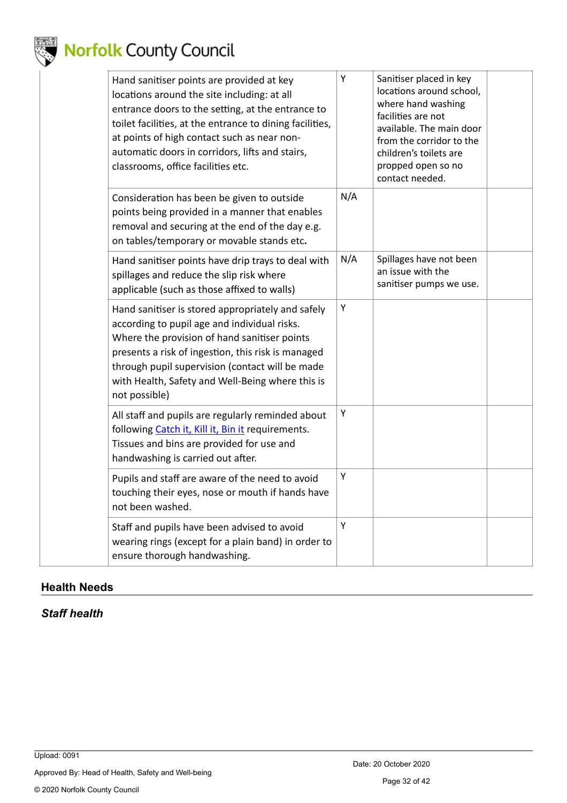

| Hand sanitiser points are provided at key<br>locations around the site including: at all<br>entrance doors to the setting, at the entrance to<br>toilet facilities, at the entrance to dining facilities,<br>at points of high contact such as near non-<br>automatic doors in corridors, lifts and stairs,<br>classrooms, office facilities etc. | Y   | Sanitiser placed in key<br>locations around school,<br>where hand washing<br>facilities are not<br>available. The main door<br>from the corridor to the<br>children's toilets are<br>propped open so no<br>contact needed. |  |
|---------------------------------------------------------------------------------------------------------------------------------------------------------------------------------------------------------------------------------------------------------------------------------------------------------------------------------------------------|-----|----------------------------------------------------------------------------------------------------------------------------------------------------------------------------------------------------------------------------|--|
| Consideration has been be given to outside<br>points being provided in a manner that enables<br>removal and securing at the end of the day e.g.<br>on tables/temporary or movable stands etc.                                                                                                                                                     | N/A |                                                                                                                                                                                                                            |  |
| Hand sanitiser points have drip trays to deal with<br>spillages and reduce the slip risk where<br>applicable (such as those affixed to walls)                                                                                                                                                                                                     | N/A | Spillages have not been<br>an issue with the<br>sanitiser pumps we use.                                                                                                                                                    |  |
| Hand sanitiser is stored appropriately and safely<br>according to pupil age and individual risks.<br>Where the provision of hand sanitiser points<br>presents a risk of ingestion, this risk is managed<br>through pupil supervision (contact will be made<br>with Health, Safety and Well-Being where this is<br>not possible)                   | Υ   |                                                                                                                                                                                                                            |  |
| All staff and pupils are regularly reminded about<br>following Catch it, Kill it, Bin it requirements.<br>Tissues and bins are provided for use and<br>handwashing is carried out after.                                                                                                                                                          | Υ   |                                                                                                                                                                                                                            |  |
| Pupils and staff are aware of the need to avoid<br>touching their eyes, nose or mouth if hands have<br>not been washed.                                                                                                                                                                                                                           | Υ   |                                                                                                                                                                                                                            |  |
| Staff and pupils have been advised to avoid<br>wearing rings (except for a plain band) in order to<br>ensure thorough handwashing.                                                                                                                                                                                                                | Y   |                                                                                                                                                                                                                            |  |

### <span id="page-31-0"></span>**Health Needs**

### <span id="page-31-1"></span>*Staff health*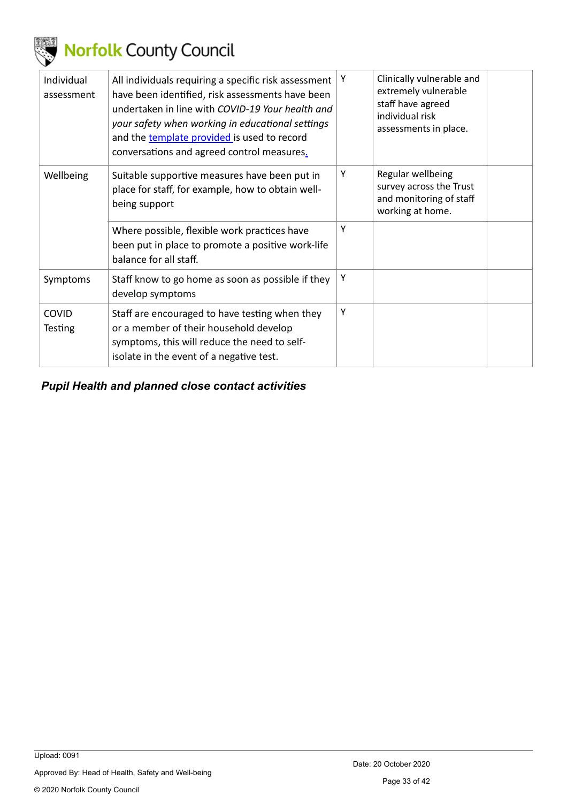

| Individual<br>assessment       | All individuals requiring a specific risk assessment<br>have been identified, risk assessments have been<br>undertaken in line with COVID-19 Your health and<br>your safety when working in educational settings<br>and the template provided is used to record<br>conversations and agreed control measures. | Y | Clinically vulnerable and<br>extremely vulnerable<br>staff have agreed<br>individual risk<br>assessments in place. |  |
|--------------------------------|---------------------------------------------------------------------------------------------------------------------------------------------------------------------------------------------------------------------------------------------------------------------------------------------------------------|---|--------------------------------------------------------------------------------------------------------------------|--|
| Wellbeing                      | Suitable supportive measures have been put in<br>place for staff, for example, how to obtain well-<br>being support                                                                                                                                                                                           | Y | Regular wellbeing<br>survey across the Trust<br>and monitoring of staff<br>working at home.                        |  |
|                                | Where possible, flexible work practices have<br>been put in place to promote a positive work-life<br>balance for all staff.                                                                                                                                                                                   | Υ |                                                                                                                    |  |
| Symptoms                       | Staff know to go home as soon as possible if they<br>develop symptoms                                                                                                                                                                                                                                         | Υ |                                                                                                                    |  |
| <b>COVID</b><br><b>Testing</b> | Staff are encouraged to have testing when they<br>or a member of their household develop<br>symptoms, this will reduce the need to self-<br>isolate in the event of a negative test.                                                                                                                          | Υ |                                                                                                                    |  |

<span id="page-32-0"></span>*Pupil Health and planned close contact activities*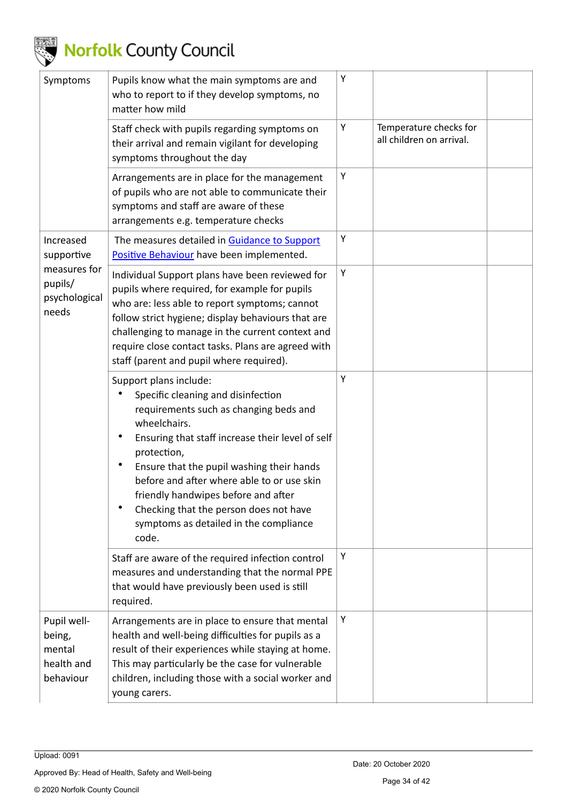

| Symptoms                                                   | Pupils know what the main symptoms are and<br>who to report to if they develop symptoms, no<br>matter how mild                                                                                                                                                                                                                                                                                                                          | Υ |                                                    |
|------------------------------------------------------------|-----------------------------------------------------------------------------------------------------------------------------------------------------------------------------------------------------------------------------------------------------------------------------------------------------------------------------------------------------------------------------------------------------------------------------------------|---|----------------------------------------------------|
|                                                            | Staff check with pupils regarding symptoms on<br>their arrival and remain vigilant for developing<br>symptoms throughout the day                                                                                                                                                                                                                                                                                                        | Υ | Temperature checks for<br>all children on arrival. |
|                                                            | Arrangements are in place for the management<br>of pupils who are not able to communicate their<br>symptoms and staff are aware of these<br>arrangements e.g. temperature checks                                                                                                                                                                                                                                                        | Υ |                                                    |
| Increased<br>supportive                                    | The measures detailed in Guidance to Support<br>Positive Behaviour have been implemented.                                                                                                                                                                                                                                                                                                                                               | Υ |                                                    |
| measures for<br>pupils/<br>psychological<br>needs          | Individual Support plans have been reviewed for<br>pupils where required, for example for pupils<br>who are: less able to report symptoms; cannot<br>follow strict hygiene; display behaviours that are<br>challenging to manage in the current context and<br>require close contact tasks. Plans are agreed with<br>staff (parent and pupil where required).                                                                           | Υ |                                                    |
|                                                            | Support plans include:<br>Specific cleaning and disinfection<br>requirements such as changing beds and<br>wheelchairs.<br>٠<br>Ensuring that staff increase their level of self<br>protection,<br>٠<br>Ensure that the pupil washing their hands<br>before and after where able to or use skin<br>friendly handwipes before and after<br>٠<br>Checking that the person does not have<br>symptoms as detailed in the compliance<br>code. | Υ |                                                    |
|                                                            | Staff are aware of the required infection control<br>measures and understanding that the normal PPE<br>that would have previously been used is still<br>required.                                                                                                                                                                                                                                                                       | Υ |                                                    |
| Pupil well-<br>being,<br>mental<br>health and<br>behaviour | Arrangements are in place to ensure that mental<br>health and well-being difficulties for pupils as a<br>result of their experiences while staying at home.<br>This may particularly be the case for vulnerable<br>children, including those with a social worker and<br>young carers.                                                                                                                                                  | Υ |                                                    |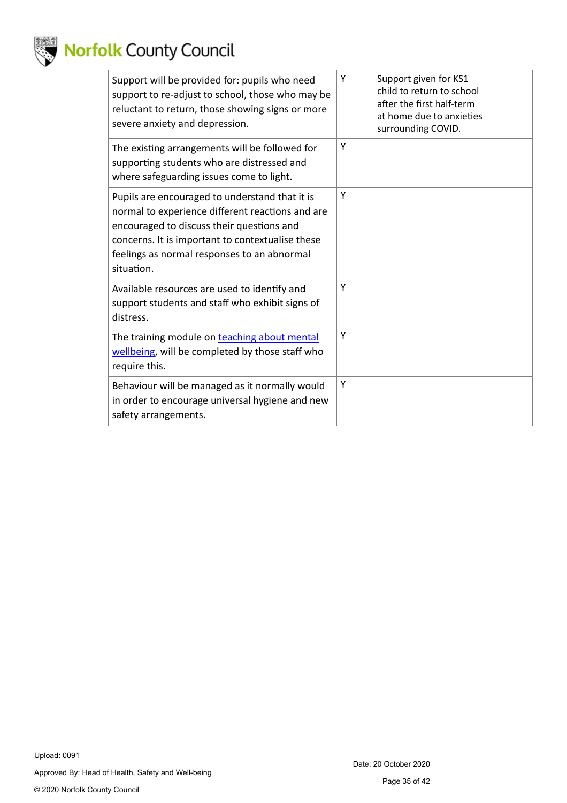

| Support will be provided for: pupils who need<br>support to re-adjust to school, those who may be<br>reluctant to return, those showing signs or more<br>severe anxiety and depression.                                                                          | Y | Support given for KS1<br>child to return to school<br>after the first half-term<br>at home due to anxieties<br>surrounding COVID. |  |
|------------------------------------------------------------------------------------------------------------------------------------------------------------------------------------------------------------------------------------------------------------------|---|-----------------------------------------------------------------------------------------------------------------------------------|--|
| The existing arrangements will be followed for<br>supporting students who are distressed and<br>where safeguarding issues come to light.                                                                                                                         | Υ |                                                                                                                                   |  |
| Pupils are encouraged to understand that it is<br>normal to experience different reactions and are<br>encouraged to discuss their questions and<br>concerns. It is important to contextualise these<br>feelings as normal responses to an abnormal<br>situation. | Υ |                                                                                                                                   |  |
| Available resources are used to identify and<br>support students and staff who exhibit signs of<br>distress.                                                                                                                                                     | Υ |                                                                                                                                   |  |
| The training module on teaching about mental<br>wellbeing, will be completed by those staff who<br>require this.                                                                                                                                                 | Y |                                                                                                                                   |  |
| Behaviour will be managed as it normally would<br>in order to encourage universal hygiene and new<br>safety arrangements.                                                                                                                                        | Υ |                                                                                                                                   |  |
|                                                                                                                                                                                                                                                                  |   |                                                                                                                                   |  |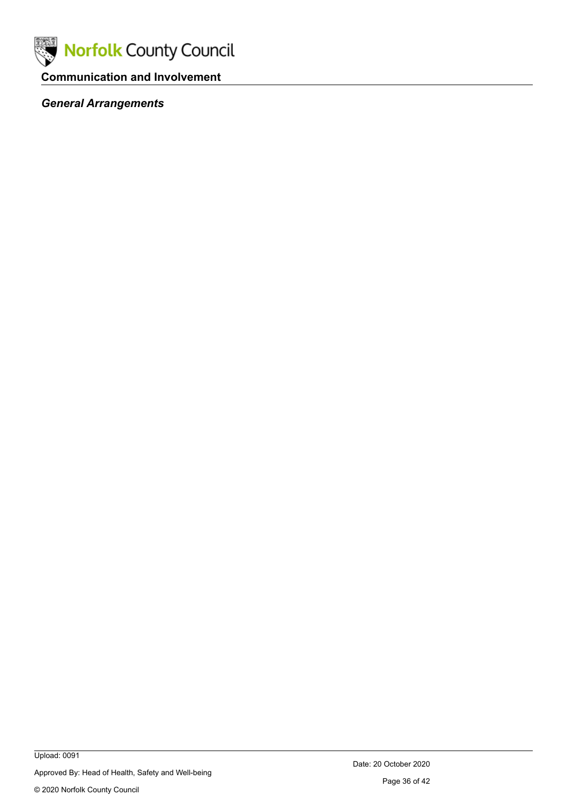

### <span id="page-35-0"></span>**Communication and Involvement**

### <span id="page-35-1"></span>*General Arrangements*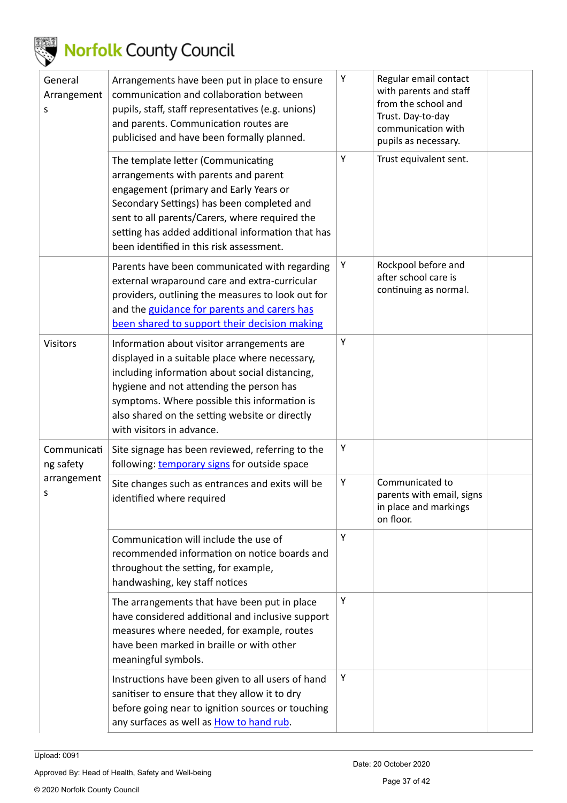

| General<br>Arrangement<br>S | Arrangements have been put in place to ensure<br>communication and collaboration between<br>pupils, staff, staff representatives (e.g. unions)<br>and parents. Communication routes are<br>publicised and have been formally planned.                                                                                     | Υ | Regular email contact<br>with parents and staff<br>from the school and<br>Trust. Day-to-day<br>communication with<br>pupils as necessary. |  |
|-----------------------------|---------------------------------------------------------------------------------------------------------------------------------------------------------------------------------------------------------------------------------------------------------------------------------------------------------------------------|---|-------------------------------------------------------------------------------------------------------------------------------------------|--|
|                             | The template letter (Communicating<br>arrangements with parents and parent<br>engagement (primary and Early Years or<br>Secondary Settings) has been completed and<br>sent to all parents/Carers, where required the<br>setting has added additional information that has<br>been identified in this risk assessment.     | Υ | Trust equivalent sent.                                                                                                                    |  |
|                             | Parents have been communicated with regarding<br>external wraparound care and extra-curricular<br>providers, outlining the measures to look out for<br>and the guidance for parents and carers has<br>been shared to support their decision making                                                                        | Υ | Rockpool before and<br>after school care is<br>continuing as normal.                                                                      |  |
| <b>Visitors</b>             | Information about visitor arrangements are<br>displayed in a suitable place where necessary,<br>including information about social distancing,<br>hygiene and not attending the person has<br>symptoms. Where possible this information is<br>also shared on the setting website or directly<br>with visitors in advance. | Υ |                                                                                                                                           |  |
| Communicati<br>ng safety    | Site signage has been reviewed, referring to the<br>following: temporary signs for outside space                                                                                                                                                                                                                          | Υ |                                                                                                                                           |  |
| arrangement<br>s            | Site changes such as entrances and exits will be<br>identified where required                                                                                                                                                                                                                                             | Υ | Communicated to<br>parents with email, signs<br>in place and markings<br>on floor.                                                        |  |
|                             | Communication will include the use of<br>recommended information on notice boards and<br>throughout the setting, for example,<br>handwashing, key staff notices                                                                                                                                                           | Υ |                                                                                                                                           |  |
|                             | The arrangements that have been put in place<br>have considered additional and inclusive support<br>measures where needed, for example, routes<br>have been marked in braille or with other<br>meaningful symbols.                                                                                                        | Υ |                                                                                                                                           |  |
|                             | Instructions have been given to all users of hand<br>sanitiser to ensure that they allow it to dry<br>before going near to ignition sources or touching<br>any surfaces as well as <b>How to hand rub</b> .                                                                                                               | Υ |                                                                                                                                           |  |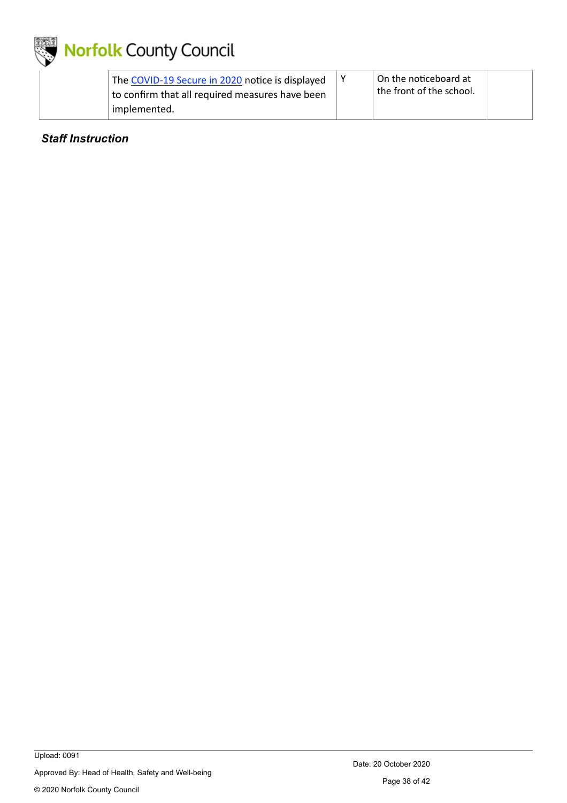

| The COVID-19 Secure in 2020 notice is displayed<br>to confirm that all required measures have been | On the noticeboard at<br>the front of the school. |  |
|----------------------------------------------------------------------------------------------------|---------------------------------------------------|--|
| implemented.                                                                                       |                                                   |  |

#### <span id="page-37-0"></span>*Staff Instruction*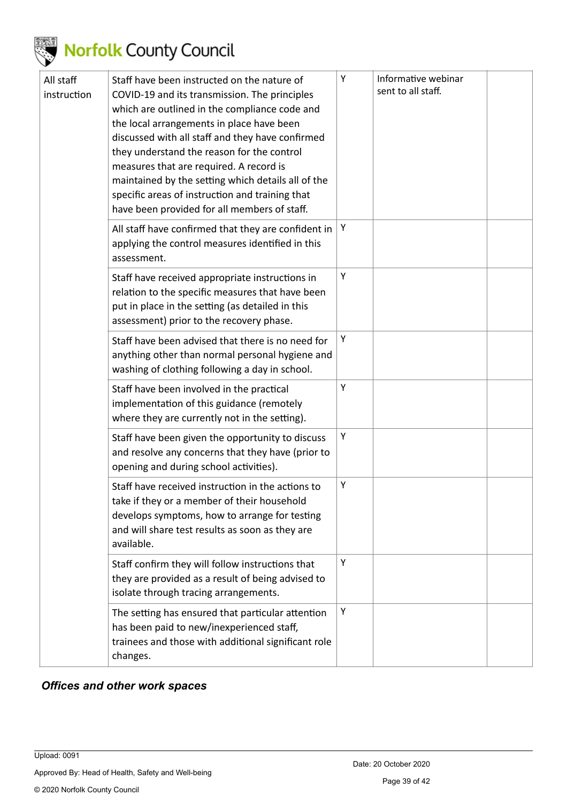

| All staff<br>instruction | Staff have been instructed on the nature of<br>COVID-19 and its transmission. The principles<br>which are outlined in the compliance code and<br>the local arrangements in place have been<br>discussed with all staff and they have confirmed<br>they understand the reason for the control<br>measures that are required. A record is<br>maintained by the setting which details all of the<br>specific areas of instruction and training that<br>have been provided for all members of staff. | Υ | Informative webinar<br>sent to all staff. |  |
|--------------------------|--------------------------------------------------------------------------------------------------------------------------------------------------------------------------------------------------------------------------------------------------------------------------------------------------------------------------------------------------------------------------------------------------------------------------------------------------------------------------------------------------|---|-------------------------------------------|--|
|                          | All staff have confirmed that they are confident in<br>applying the control measures identified in this<br>assessment.                                                                                                                                                                                                                                                                                                                                                                           | Υ |                                           |  |
|                          | Staff have received appropriate instructions in<br>relation to the specific measures that have been<br>put in place in the setting (as detailed in this<br>assessment) prior to the recovery phase.                                                                                                                                                                                                                                                                                              | Υ |                                           |  |
|                          | Staff have been advised that there is no need for<br>anything other than normal personal hygiene and<br>washing of clothing following a day in school.                                                                                                                                                                                                                                                                                                                                           | Υ |                                           |  |
|                          | Staff have been involved in the practical<br>implementation of this guidance (remotely<br>where they are currently not in the setting).                                                                                                                                                                                                                                                                                                                                                          | Υ |                                           |  |
|                          | Staff have been given the opportunity to discuss<br>and resolve any concerns that they have (prior to<br>opening and during school activities).                                                                                                                                                                                                                                                                                                                                                  | Υ |                                           |  |
|                          | Staff have received instruction in the actions to<br>take if they or a member of their household<br>develops symptoms, how to arrange for testing<br>and will share test results as soon as they are<br>available.                                                                                                                                                                                                                                                                               | Υ |                                           |  |
|                          | Staff confirm they will follow instructions that<br>they are provided as a result of being advised to<br>isolate through tracing arrangements.                                                                                                                                                                                                                                                                                                                                                   | Υ |                                           |  |
|                          | The setting has ensured that particular attention<br>has been paid to new/inexperienced staff,<br>trainees and those with additional significant role<br>changes.                                                                                                                                                                                                                                                                                                                                | Υ |                                           |  |

#### <span id="page-38-0"></span>*Offices and other work spaces*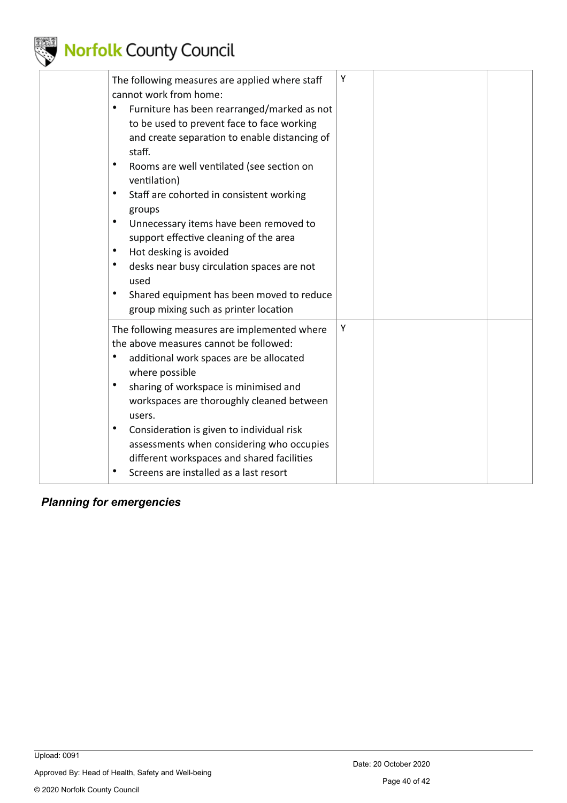

| The following measures are applied where staff<br>cannot work from home:<br>Furniture has been rearranged/marked as not<br>to be used to prevent face to face working<br>and create separation to enable distancing of<br>staff.<br>Rooms are well ventilated (see section on<br>٠<br>ventilation)<br>Staff are cohorted in consistent working<br>٠<br>groups<br>$\bullet$<br>Unnecessary items have been removed to<br>support effective cleaning of the area<br>Hot desking is avoided<br>$\bullet$<br>$\bullet$<br>desks near busy circulation spaces are not<br>used<br>Shared equipment has been moved to reduce<br>$\bullet$<br>group mixing such as printer location | Υ |  |
|-----------------------------------------------------------------------------------------------------------------------------------------------------------------------------------------------------------------------------------------------------------------------------------------------------------------------------------------------------------------------------------------------------------------------------------------------------------------------------------------------------------------------------------------------------------------------------------------------------------------------------------------------------------------------------|---|--|
| The following measures are implemented where<br>the above measures cannot be followed:<br>٠<br>additional work spaces are be allocated<br>where possible<br>$\bullet$<br>sharing of workspace is minimised and<br>workspaces are thoroughly cleaned between<br>users.<br>$\bullet$<br>Consideration is given to individual risk<br>assessments when considering who occupies<br>different workspaces and shared facilities<br>Screens are installed as a last resort                                                                                                                                                                                                        | Υ |  |

### <span id="page-39-0"></span>*Planning for emergencies*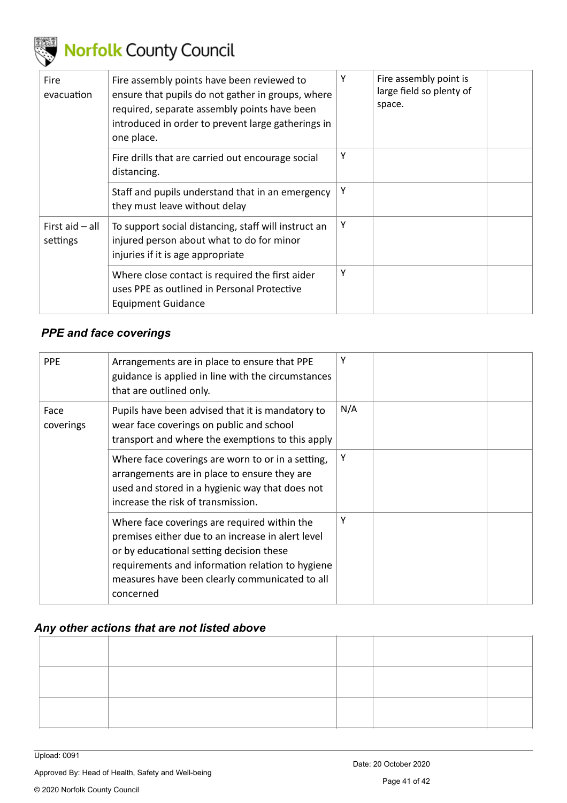

| <b>Fire</b><br>evacuation     | Fire assembly points have been reviewed to<br>ensure that pupils do not gather in groups, where<br>required, separate assembly points have been<br>introduced in order to prevent large gatherings in<br>one place. | Y | Fire assembly point is<br>large field so plenty of<br>space. |  |
|-------------------------------|---------------------------------------------------------------------------------------------------------------------------------------------------------------------------------------------------------------------|---|--------------------------------------------------------------|--|
|                               | Fire drills that are carried out encourage social<br>distancing.                                                                                                                                                    | Υ |                                                              |  |
|                               | Staff and pupils understand that in an emergency<br>they must leave without delay                                                                                                                                   | Υ |                                                              |  |
| First aid $-$ all<br>settings | To support social distancing, staff will instruct an<br>injured person about what to do for minor<br>injuries if it is age appropriate                                                                              | Y |                                                              |  |
|                               | Where close contact is required the first aider<br>uses PPE as outlined in Personal Protective<br><b>Equipment Guidance</b>                                                                                         | Υ |                                                              |  |

### <span id="page-40-0"></span>*PPE and face coverings*

| <b>PPE</b>        | Arrangements are in place to ensure that PPE<br>guidance is applied in line with the circumstances<br>that are outlined only.                                                                                                                                    | Υ   |  |
|-------------------|------------------------------------------------------------------------------------------------------------------------------------------------------------------------------------------------------------------------------------------------------------------|-----|--|
| Face<br>coverings | Pupils have been advised that it is mandatory to<br>wear face coverings on public and school<br>transport and where the exemptions to this apply                                                                                                                 | N/A |  |
|                   | Where face coverings are worn to or in a setting,<br>arrangements are in place to ensure they are<br>used and stored in a hygienic way that does not<br>increase the risk of transmission.                                                                       | Y   |  |
|                   | Where face coverings are required within the<br>premises either due to an increase in alert level<br>or by educational setting decision these<br>requirements and information relation to hygiene<br>measures have been clearly communicated to all<br>concerned | Υ   |  |

### *Any other actions that are not listed above*

Page 41 of 42